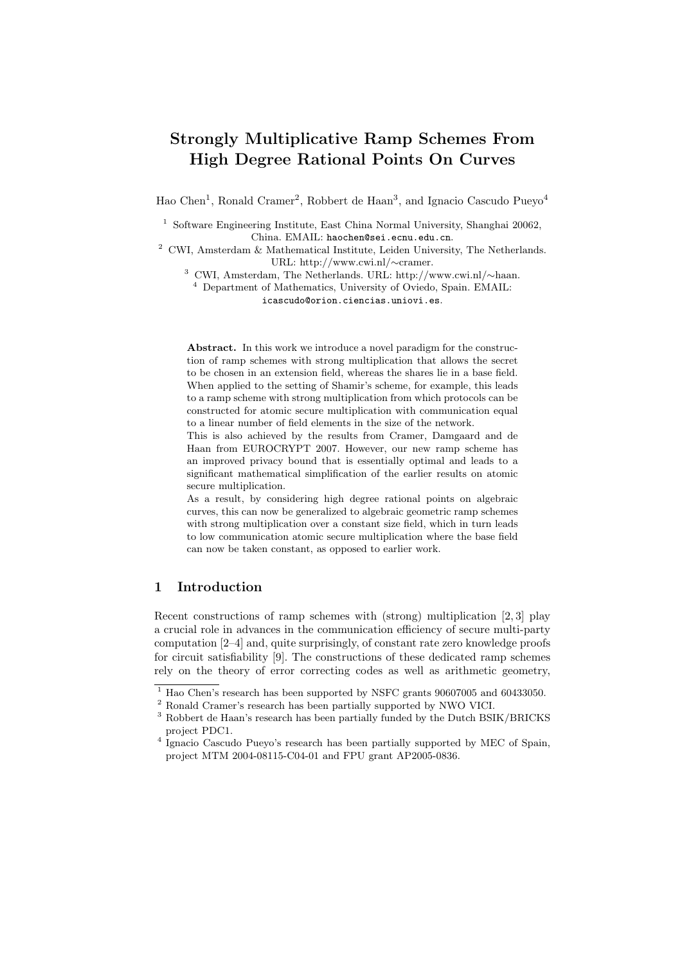# Strongly Multiplicative Ramp Schemes From High Degree Rational Points On Curves

Hao Chen<sup>1</sup>, Ronald Cramer<sup>2</sup>, Robbert de Haan<sup>3</sup>, and Ignacio Cascudo Pueyo<sup>4</sup>

<sup>1</sup> Software Engineering Institute, East China Normal University, Shanghai 20062, China. EMAIL: haochen@sei.ecnu.edu.cn.

<sup>3</sup> CWI, Amsterdam, The Netherlands. URL: http://www.cwi.nl/∼haan.

Abstract. In this work we introduce a novel paradigm for the construction of ramp schemes with strong multiplication that allows the secret to be chosen in an extension field, whereas the shares lie in a base field. When applied to the setting of Shamir's scheme, for example, this leads to a ramp scheme with strong multiplication from which protocols can be constructed for atomic secure multiplication with communication equal to a linear number of field elements in the size of the network.

This is also achieved by the results from Cramer, Damgaard and de Haan from EUROCRYPT 2007. However, our new ramp scheme has an improved privacy bound that is essentially optimal and leads to a significant mathematical simplification of the earlier results on atomic secure multiplication.

As a result, by considering high degree rational points on algebraic curves, this can now be generalized to algebraic geometric ramp schemes with strong multiplication over a constant size field, which in turn leads to low communication atomic secure multiplication where the base field can now be taken constant, as opposed to earlier work.

### 1 Introduction

Recent constructions of ramp schemes with (strong) multiplication [2, 3] play a crucial role in advances in the communication efficiency of secure multi-party computation [2–4] and, quite surprisingly, of constant rate zero knowledge proofs for circuit satisfiability [9]. The constructions of these dedicated ramp schemes rely on the theory of error correcting codes as well as arithmetic geometry,

<sup>2</sup> CWI, Amsterdam & Mathematical Institute, Leiden University, The Netherlands. URL: http://www.cwi.nl/∼cramer.

 $^4\,$  Department of Mathematics, University of Oviedo, Spain. EMAIL: icascudo@orion.ciencias.uniovi.es.

 $1$  Hao Chen's research has been supported by NSFC grants 90607005 and 60433050.

<sup>2</sup> Ronald Cramer's research has been partially supported by NWO VICI.

<sup>3</sup> Robbert de Haan's research has been partially funded by the Dutch BSIK/BRICKS project PDC1.

<sup>4</sup> Ignacio Cascudo Pueyo's research has been partially supported by MEC of Spain, project MTM 2004-08115-C04-01 and FPU grant AP2005-0836.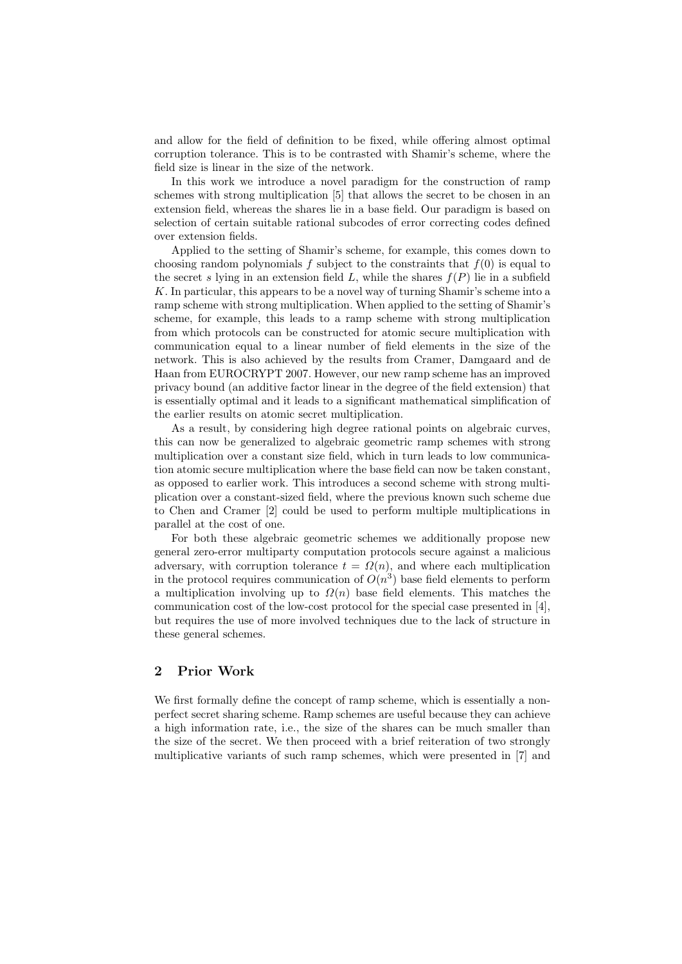and allow for the field of definition to be fixed, while offering almost optimal corruption tolerance. This is to be contrasted with Shamir's scheme, where the field size is linear in the size of the network.

In this work we introduce a novel paradigm for the construction of ramp schemes with strong multiplication [5] that allows the secret to be chosen in an extension field, whereas the shares lie in a base field. Our paradigm is based on selection of certain suitable rational subcodes of error correcting codes defined over extension fields.

Applied to the setting of Shamir's scheme, for example, this comes down to choosing random polynomials f subject to the constraints that  $f(0)$  is equal to the secret s lying in an extension field L, while the shares  $f(P)$  lie in a subfield K. In particular, this appears to be a novel way of turning Shamir's scheme into a ramp scheme with strong multiplication. When applied to the setting of Shamir's scheme, for example, this leads to a ramp scheme with strong multiplication from which protocols can be constructed for atomic secure multiplication with communication equal to a linear number of field elements in the size of the network. This is also achieved by the results from Cramer, Damgaard and de Haan from EUROCRYPT 2007. However, our new ramp scheme has an improved privacy bound (an additive factor linear in the degree of the field extension) that is essentially optimal and it leads to a significant mathematical simplification of the earlier results on atomic secret multiplication.

As a result, by considering high degree rational points on algebraic curves, this can now be generalized to algebraic geometric ramp schemes with strong multiplication over a constant size field, which in turn leads to low communication atomic secure multiplication where the base field can now be taken constant, as opposed to earlier work. This introduces a second scheme with strong multiplication over a constant-sized field, where the previous known such scheme due to Chen and Cramer [2] could be used to perform multiple multiplications in parallel at the cost of one.

For both these algebraic geometric schemes we additionally propose new general zero-error multiparty computation protocols secure against a malicious adversary, with corruption tolerance  $t = \Omega(n)$ , and where each multiplication in the protocol requires communication of  $O(n^3)$  base field elements to perform a multiplication involving up to  $\Omega(n)$  base field elements. This matches the communication cost of the low-cost protocol for the special case presented in [4], but requires the use of more involved techniques due to the lack of structure in these general schemes.

### 2 Prior Work

We first formally define the concept of ramp scheme, which is essentially a nonperfect secret sharing scheme. Ramp schemes are useful because they can achieve a high information rate, i.e., the size of the shares can be much smaller than the size of the secret. We then proceed with a brief reiteration of two strongly multiplicative variants of such ramp schemes, which were presented in [7] and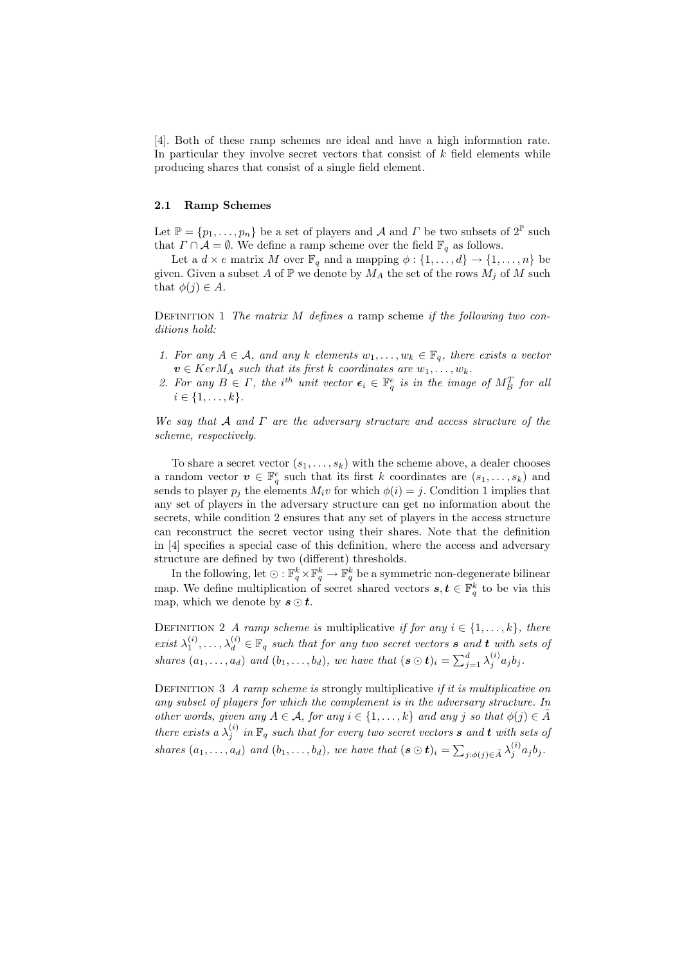[4]. Both of these ramp schemes are ideal and have a high information rate. In particular they involve secret vectors that consist of  $k$  field elements while producing shares that consist of a single field element.

#### 2.1 Ramp Schemes

Let  $\mathbb{P} = \{p_1, \ldots, p_n\}$  be a set of players and  $\mathcal A$  and  $\Gamma$  be two subsets of  $2^{\mathbb{P}}$  such that  $\Gamma \cap A = \emptyset$ . We define a ramp scheme over the field  $\mathbb{F}_q$  as follows.

Let a  $d \times e$  matrix M over  $\mathbb{F}_q$  and a mapping  $\phi : \{1, \ldots, d\} \to \{1, \ldots, n\}$  be given. Given a subset A of  $\mathbb P$  we denote by  $M_A$  the set of the rows  $M_j$  of M such that  $\phi(j) \in A$ .

DEFINITION 1 The matrix  $M$  defines a ramp scheme if the following two conditions hold:

- 1. For any  $A \in \mathcal{A}$ , and any k elements  $w_1, \ldots, w_k \in \mathbb{F}_q$ , there exists a vector  $v \in Ker M_A$  such that its first k coordinates are  $w_1, \ldots, w_k$ .
- 2. For any  $B \in \Gamma$ , the i<sup>th</sup> unit vector  $\epsilon_i \in \mathbb{F}_q^e$  is in the image of  $M_B^T$  for all  $i \in \{1, \ldots, k\}.$

We say that  $A$  and  $\Gamma$  are the adversary structure and access structure of the scheme, respectively.

To share a secret vector  $(s_1, \ldots, s_k)$  with the scheme above, a dealer chooses a random vector  $v \in \mathbb{F}_q^e$  such that its first k coordinates are  $(s_1, \ldots, s_k)$  and sends to player  $p_i$  the elements  $M_i v$  for which  $\phi(i) = j$ . Condition 1 implies that any set of players in the adversary structure can get no information about the secrets, while condition 2 ensures that any set of players in the access structure can reconstruct the secret vector using their shares. Note that the definition in [4] specifies a special case of this definition, where the access and adversary structure are defined by two (different) thresholds.

In the following, let  $\odot : \mathbb{F}_q^k \times \mathbb{F}_q^k \to \mathbb{F}_q^k$  be a symmetric non-degenerate bilinear map. We define multiplication of secret shared vectors  $s, t \in \mathbb{F}_q^k$  to be via this map, which we denote by  $s \odot t$ .

DEFINITION 2 A ramp scheme is multiplicative if for any  $i \in \{1, \ldots, k\}$ , there exist  $\lambda_1^{(i)}, \ldots, \lambda_d^{(i)} \in \mathbb{F}_q$  such that for any two secret vectors **s** and **t** with sets of shares  $(a_1, \ldots, a_d)$  and  $(b_1, \ldots, b_d)$ , we have that  $(s \odot t)_i = \sum_{j=1}^d \lambda_j^{(i)} a_j b_j$ .

DEFINITION  $3$  A ramp scheme is strongly multiplicative if it is multiplicative on any subset of players for which the complement is in the adversary structure. In other words, given any  $A \in \mathcal{A}$ , for any  $i \in \{1, ..., k\}$  and any j so that  $\phi(j) \in \overline{A}$ there exists a  $\lambda_j^{(i)}$  in  $\mathbb{F}_q$  such that for every two secret vectors  $\bm{s}$  and  $\bm{t}$  with sets of shares  $(a_1, \ldots, a_d)$  and  $(b_1, \ldots, b_d)$ , we have that  $(s \odot t)_i = \sum_{j : \phi(j) \in \bar{A}} \lambda_j^{(i)} a_j b_j$ .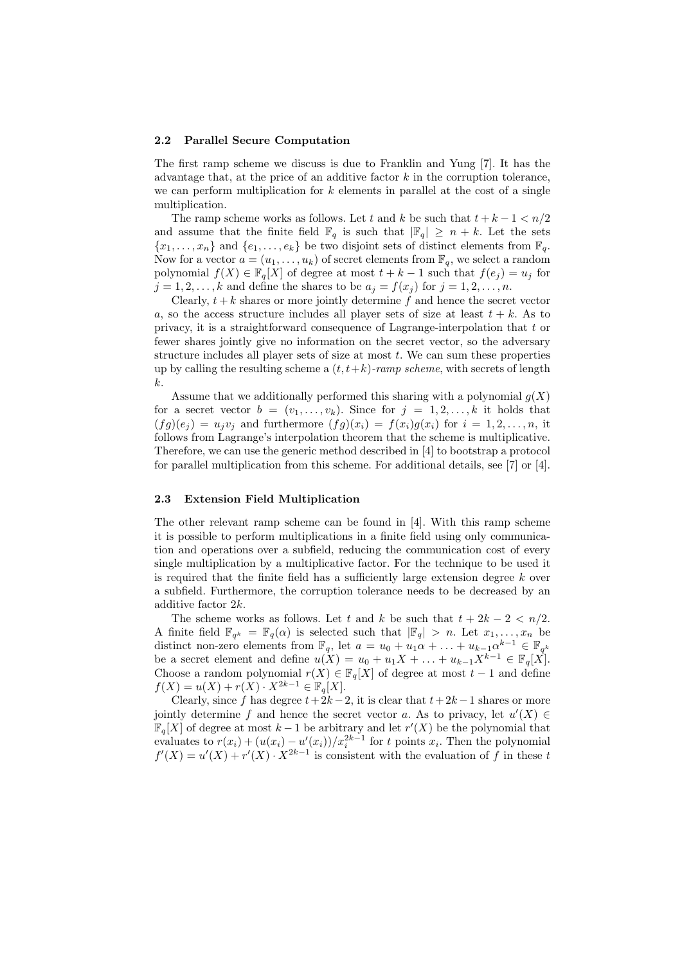#### 2.2 Parallel Secure Computation

The first ramp scheme we discuss is due to Franklin and Yung [7]. It has the advantage that, at the price of an additive factor  $k$  in the corruption tolerance, we can perform multiplication for  $k$  elements in parallel at the cost of a single multiplication.

The ramp scheme works as follows. Let t and k be such that  $t + k - 1 < n/2$ and assume that the finite field  $\mathbb{F}_q$  is such that  $|\mathbb{F}_q| \geq n+k$ . Let the sets  ${x_1, \ldots, x_n}$  and  ${e_1, \ldots, e_k}$  be two disjoint sets of distinct elements from  $\mathbb{F}_q$ . Now for a vector  $a = (u_1, \ldots, u_k)$  of secret elements from  $\mathbb{F}_q$ , we select a random polynomial  $f(X) \in \mathbb{F}_q[X]$  of degree at most  $t + k - 1$  such that  $f(e_i) = u_i$  for  $j = 1, 2, \ldots, k$  and define the shares to be  $a_j = f(x_j)$  for  $j = 1, 2, \ldots, n$ .

Clearly,  $t + k$  shares or more jointly determine f and hence the secret vector a, so the access structure includes all player sets of size at least  $t + k$ . As to privacy, it is a straightforward consequence of Lagrange-interpolation that t or fewer shares jointly give no information on the secret vector, so the adversary structure includes all player sets of size at most  $t$ . We can sum these properties up by calling the resulting scheme a  $(t, t+k)$ -ramp scheme, with secrets of length k.

Assume that we additionally performed this sharing with a polynomial  $g(X)$ for a secret vector  $b = (v_1, \ldots, v_k)$ . Since for  $j = 1, 2, \ldots, k$  it holds that  $(fg)(e_i) = u_i v_i$  and furthermore  $(fg)(x_i) = f(x_i)g(x_i)$  for  $i = 1, 2, \ldots, n$ , it follows from Lagrange's interpolation theorem that the scheme is multiplicative. Therefore, we can use the generic method described in [4] to bootstrap a protocol for parallel multiplication from this scheme. For additional details, see [7] or [4].

#### 2.3 Extension Field Multiplication

The other relevant ramp scheme can be found in [4]. With this ramp scheme it is possible to perform multiplications in a finite field using only communication and operations over a subfield, reducing the communication cost of every single multiplication by a multiplicative factor. For the technique to be used it is required that the finite field has a sufficiently large extension degree  $k$  over a subfield. Furthermore, the corruption tolerance needs to be decreased by an additive factor 2k.

The scheme works as follows. Let t and k be such that  $t + 2k - 2 < n/2$ . A finite field  $\mathbb{F}_{q^k} = \mathbb{F}_q(\alpha)$  is selected such that  $|\mathbb{F}_q| > n$ . Let  $x_1, \ldots, x_n$  be distinct non-zero elements from  $\mathbb{F}_q$ , let  $a = u_0 + u_1 \alpha + \ldots + u_{k-1} \alpha^{k-1} \in \mathbb{F}_{q^k}$ be a secret element and define  $u(X) = u_0 + u_1X + \ldots + u_{k-1}X^{k-1} \in \mathbb{F}_q[X].$ Choose a random polynomial  $r(X) \in \mathbb{F}_q[X]$  of degree at most  $t-1$  and define  $f(X) = u(X) + r(X) \cdot X^{2k-1} \in \mathbb{F}_q[X].$ 

Clearly, since f has degree  $t+2k-2$ , it is clear that  $t+2k-1$  shares or more jointly determine f and hence the secret vector a. As to privacy, let  $u'(X) \in$  $\mathbb{F}_q[X]$  of degree at most  $k-1$  be arbitrary and let  $r'(X)$  be the polynomial that evaluates to  $r(x_i) + (u(x_i) - u'(x_i))/x_i^{2k-1}$  for t points  $x_i$ . Then the polynomial  $f'(X) = u'(X) + r'(X) \cdot X^{2k-1}$  is consistent with the evaluation of f in these t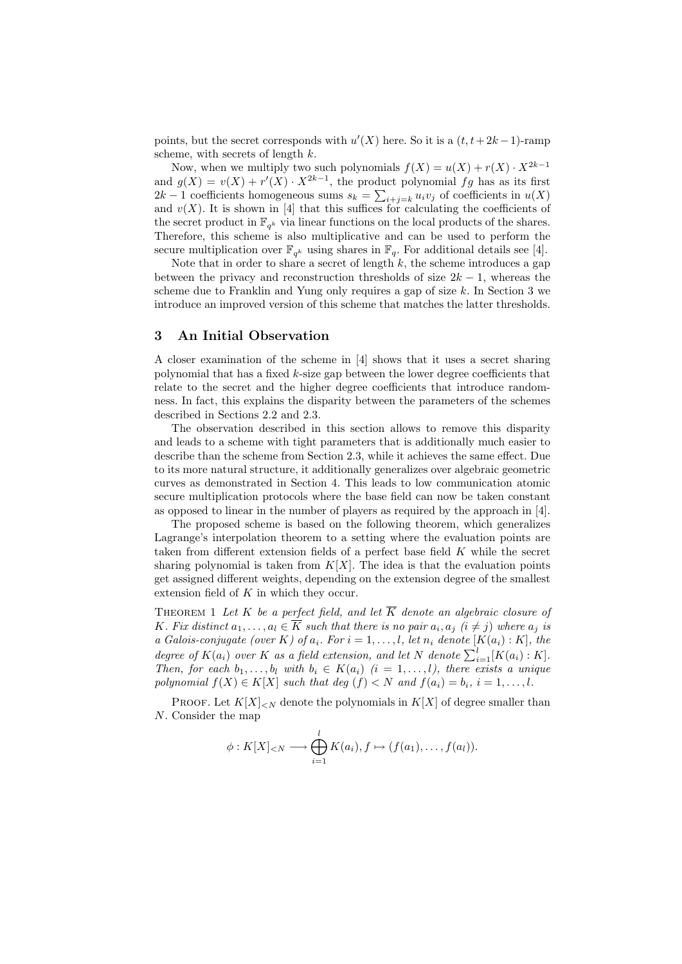points, but the secret corresponds with  $u'(X)$  here. So it is a  $(t, t+2k-1)$ -ramp scheme, with secrets of length  $k$ .

Now, when we multiply two such polynomials  $f(X) = u(X) + r(X) \cdot X^{2k-1}$ and  $g(X) = v(X) + r'(X) \cdot X^{2k-1}$ , the product polynomial fg has as its first 2k − 1 coefficients homogeneous sums  $s_k = \sum_{i+j=k} u_i v_j$  of coefficients in  $u(X)$ and  $v(X)$ . It is shown in [4] that this suffices for calculating the coefficients of the secret product in  $\mathbb{F}_{q^k}$  via linear functions on the local products of the shares. Therefore, this scheme is also multiplicative and can be used to perform the secure multiplication over  $\mathbb{F}_{q^k}$  using shares in  $\mathbb{F}_q$ . For additional details see [4].

Note that in order to share a secret of length  $k$ , the scheme introduces a gap between the privacy and reconstruction thresholds of size  $2k - 1$ , whereas the scheme due to Franklin and Yung only requires a gap of size  $k$ . In Section 3 we introduce an improved version of this scheme that matches the latter thresholds.

#### 3 An Initial Observation

A closer examination of the scheme in [4] shows that it uses a secret sharing polynomial that has a fixed  $k$ -size gap between the lower degree coefficients that relate to the secret and the higher degree coefficients that introduce randomness. In fact, this explains the disparity between the parameters of the schemes described in Sections 2.2 and 2.3.

The observation described in this section allows to remove this disparity and leads to a scheme with tight parameters that is additionally much easier to describe than the scheme from Section 2.3, while it achieves the same effect. Due to its more natural structure, it additionally generalizes over algebraic geometric curves as demonstrated in Section 4. This leads to low communication atomic secure multiplication protocols where the base field can now be taken constant as opposed to linear in the number of players as required by the approach in [4].

The proposed scheme is based on the following theorem, which generalizes Lagrange's interpolation theorem to a setting where the evaluation points are taken from different extension fields of a perfect base field K while the secret sharing polynomial is taken from  $K[X]$ . The idea is that the evaluation points get assigned different weights, depending on the extension degree of the smallest extension field of  $K$  in which they occur.

THEOREM 1 Let K be a perfect field, and let  $\overline{K}$  denote an algebraic closure of K. Fix distinct  $a_1, \ldots, a_l \in \overline{K}$  such that there is no pair  $a_i, a_j$   $(i \neq j)$  where  $a_j$  is a Galois-conjugate (over K) of  $a_i$ . For  $i = 1, \ldots, l$ , let  $n_i$  denote  $[K(a_i): K]$ , the degree of  $K(a_i)$  over K as a field extension, and let N denote  $\sum_{i=1}^{l} [K(a_i):K]$ . Then, for each  $b_1, \ldots, b_l$  with  $b_i \in K(a_i)$   $(i = 1, \ldots, l)$ , there exists a unique polynomial  $f(X) \in K[X]$  such that deg  $(f) \leq N$  and  $f(a_i) = b_i$ ,  $i = 1, \ldots, l$ .

PROOF. Let  $K[X]_{\leq N}$  denote the polynomials in  $K[X]$  of degree smaller than N. Consider the map

$$
\phi: K[X]_{< N} \longrightarrow \bigoplus_{i=1}^l K(a_i), f \mapsto (f(a_1), \dots, f(a_l)).
$$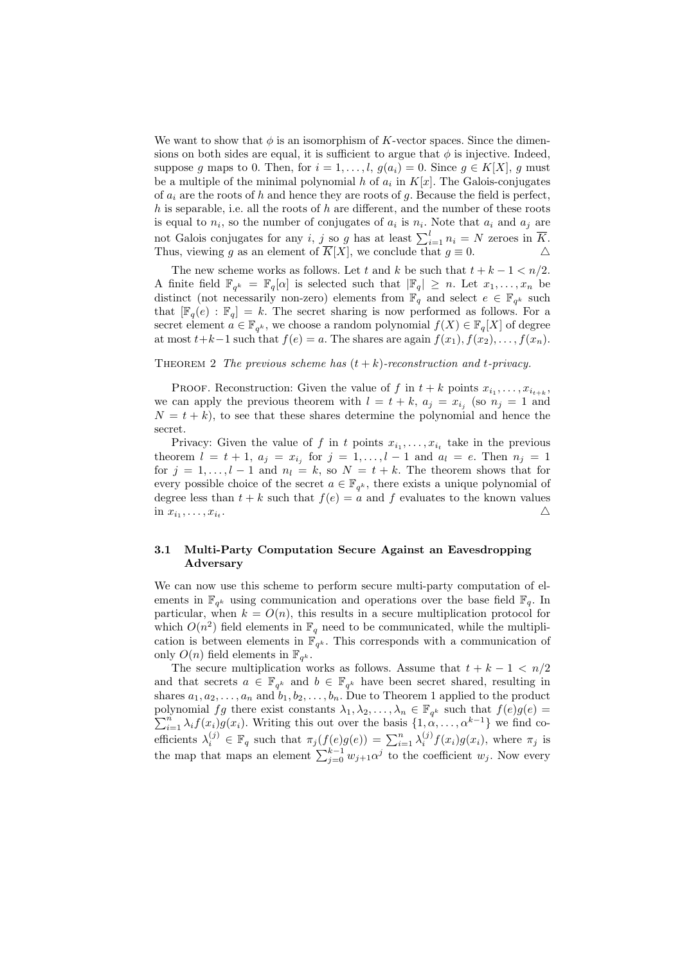We want to show that  $\phi$  is an isomorphism of K-vector spaces. Since the dimensions on both sides are equal, it is sufficient to argue that  $\phi$  is injective. Indeed, suppose g maps to 0. Then, for  $i = 1, \ldots, l$ ,  $g(a_i) = 0$ . Since  $g \in K[X]$ , g must be a multiple of the minimal polynomial h of  $a_i$  in  $K[x]$ . The Galois-conjugates of  $a_i$  are the roots of h and hence they are roots of q. Because the field is perfect,  $h$  is separable, i.e. all the roots of  $h$  are different, and the number of these roots is equal to  $n_i$ , so the number of conjugates of  $a_i$  is  $n_i$ . Note that  $a_i$  and  $a_j$  are not Galois conjugates for any *i*, *j* so *g* has at least  $\sum_{i=1}^{l} n_i = N$  zeroes in  $\overline{K}$ . Thus, viewing g as an element of  $\overline{K}[X]$ , we conclude that  $g \equiv 0$ .

The new scheme works as follows. Let t and k be such that  $t + k - 1 < n/2$ . A finite field  $\mathbb{F}_{q^k} = \mathbb{F}_q[\alpha]$  is selected such that  $|\mathbb{F}_q| \geq n$ . Let  $x_1, \ldots, x_n$  be distinct (not necessarily non-zero) elements from  $\mathbb{F}_q$  and select  $e \in \mathbb{F}_{q^k}$  such that  $[\mathbb{F}_q(e) : \mathbb{F}_q] = k$ . The secret sharing is now performed as follows. For a secret element  $a \in \mathbb{F}_{q^k}$ , we choose a random polynomial  $f(X) \in \mathbb{F}_q[X]$  of degree at most  $t+k-1$  such that  $f(e) = a$ . The shares are again  $f(x_1), f(x_2), \ldots, f(x_n)$ .

#### THEOREM 2 The previous scheme has  $(t + k)$ -reconstruction and t-privacy.

PROOF. Reconstruction: Given the value of f in  $t + k$  points  $x_{i_1}, \ldots, x_{i_{t+k}}$ , we can apply the previous theorem with  $l = t + k$ ,  $a_j = x_{i_j}$  (so  $n_j = 1$  and  $N = t + k$ , to see that these shares determine the polynomial and hence the secret.

Privacy: Given the value of f in t points  $x_{i_1}, \ldots, x_{i_t}$  take in the previous theorem  $l = t + 1$ ,  $a_j = x_{i_j}$  for  $j = 1, ..., l - 1$  and  $a_l = e$ . Then  $n_j = 1$ for  $j = 1, ..., l - 1$  and  $n_l = k$ , so  $N = t + k$ . The theorem shows that for every possible choice of the secret  $a \in \mathbb{F}_{q^k}$ , there exists a unique polynomial of degree less than  $t + k$  such that  $f(e) = a$  and f evaluates to the known values in  $x_{i_1}, \ldots, x_{i_t}$ . And the contract of the contract of the contract of  $\Delta$ 

### 3.1 Multi-Party Computation Secure Against an Eavesdropping Adversary

We can now use this scheme to perform secure multi-party computation of elements in  $\mathbb{F}_{q^k}$  using communication and operations over the base field  $\mathbb{F}_q$ . In particular, when  $k = O(n)$ , this results in a secure multiplication protocol for which  $O(n^2)$  field elements in  $\mathbb{F}_q$  need to be communicated, while the multiplication is between elements in  $\mathbb{F}_{q^k}$ . This corresponds with a communication of only  $O(n)$  field elements in  $\mathbb{F}_{q^k}$ .

The secure multiplication works as follows. Assume that  $t + k - 1 < n/2$ and that secrets  $a \in \mathbb{F}_{q^k}$  and  $b \in \mathbb{F}_{q^k}$  have been secret shared, resulting in shares  $a_1, a_2, \ldots, a_n$  and  $b_1, b_2, \ldots, b_n$ . Due to Theorem 1 applied to the product polynomial fg there exist constants  $\lambda_1, \lambda_2, ..., \lambda_n \in \mathbb{F}_{q^k}$  such that  $f(e)g(e) = \sum_{i=1}^n \lambda_i f(x_i)g(x_i)$ . Writing this out over the basis  $\{1, \alpha, ..., \alpha^{k-1}\}$  we find coefficients  $\lambda_i^{(j)} \in \mathbb{F}_q$  such that  $\pi_j(f(e)g(e)) = \sum_{i=1}^n \lambda_i^{(j)} f(x_i)g(x_i)$ , where  $\pi_j$  is the map that maps an element  $\sum_{j=0}^{k-1} w_{j+1} \alpha^j$  to the coefficient  $w_j$ . Now every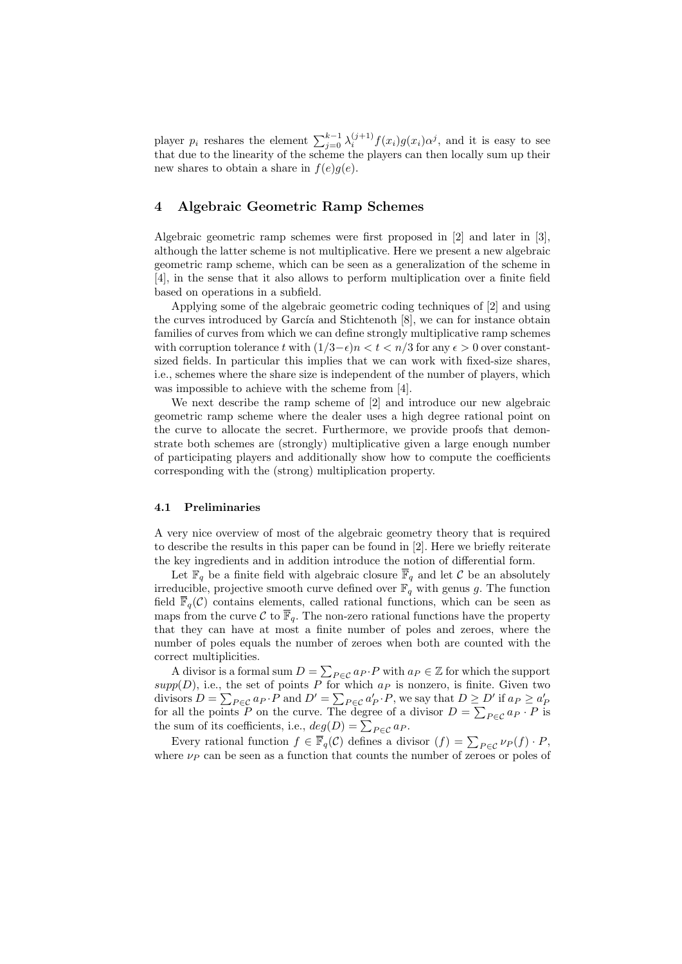player  $p_i$  reshares the element  $\sum_{j=0}^{k-1} \lambda_i^{(j+1)} f(x_i) g(x_i) \alpha^j$ , and it is easy to see that due to the linearity of the scheme the players can then locally sum up their new shares to obtain a share in  $f(e)q(e)$ .

### 4 Algebraic Geometric Ramp Schemes

Algebraic geometric ramp schemes were first proposed in [2] and later in [3], although the latter scheme is not multiplicative. Here we present a new algebraic geometric ramp scheme, which can be seen as a generalization of the scheme in [4], in the sense that it also allows to perform multiplication over a finite field based on operations in a subfield.

Applying some of the algebraic geometric coding techniques of [2] and using the curves introduced by García and Stichtenoth  $[8]$ , we can for instance obtain families of curves from which we can define strongly multiplicative ramp schemes with corruption tolerance t with  $(1/3-\epsilon)n < t < n/3$  for any  $\epsilon > 0$  over constantsized fields. In particular this implies that we can work with fixed-size shares, i.e., schemes where the share size is independent of the number of players, which was impossible to achieve with the scheme from [4].

We next describe the ramp scheme of [2] and introduce our new algebraic geometric ramp scheme where the dealer uses a high degree rational point on the curve to allocate the secret. Furthermore, we provide proofs that demonstrate both schemes are (strongly) multiplicative given a large enough number of participating players and additionally show how to compute the coefficients corresponding with the (strong) multiplication property.

#### 4.1 Preliminaries

A very nice overview of most of the algebraic geometry theory that is required to describe the results in this paper can be found in [2]. Here we briefly reiterate the key ingredients and in addition introduce the notion of differential form.

Let  $\mathbb{F}_q$  be a finite field with algebraic closure  $\overline{\mathbb{F}}_q$  and let C be an absolutely irreducible, projective smooth curve defined over  $\mathbb{F}_q$  with genus g. The function field  $\overline{\mathbb{F}}_q(C)$  contains elements, called rational functions, which can be seen as maps from the curve C to  $\overline{\mathbb{F}}_q$ . The non-zero rational functions have the property that they can have at most a finite number of poles and zeroes, where the number of poles equals the number of zeroes when both are counted with the correct multiplicities.

A divisor is a formal sum  $D = \sum_{P \in \mathcal{C}} a_P \cdot P$  with  $a_P \in \mathbb{Z}$  for which the support  $supp(D)$ , i.e., the set of points P for which  $a<sub>P</sub>$  is nonzero, is finite. Given two divisors  $D = \sum_{P \in \mathcal{C}} a_P \cdot P$  and  $D' = \sum_{P \in \mathcal{C}} a_P' \cdot P$ , we say that  $D \ge D'$  if  $a_P \ge a_P'$ <br>for all the points P on the curve. The degree of a divisor  $D = \sum_{P \in \mathcal{C}} a_P \cdot P$  is the sum of its coefficients, i.e.,  $deg(D) = \sum_{P \in \mathcal{C}} a_P$ .

Every rational function  $f \in \overline{\mathbb{F}}_q(C)$  defines a divisor  $(f) = \sum_{P \in \mathcal{C}} \nu_P(f) \cdot P$ , where  $\nu_P$  can be seen as a function that counts the number of zeroes or poles of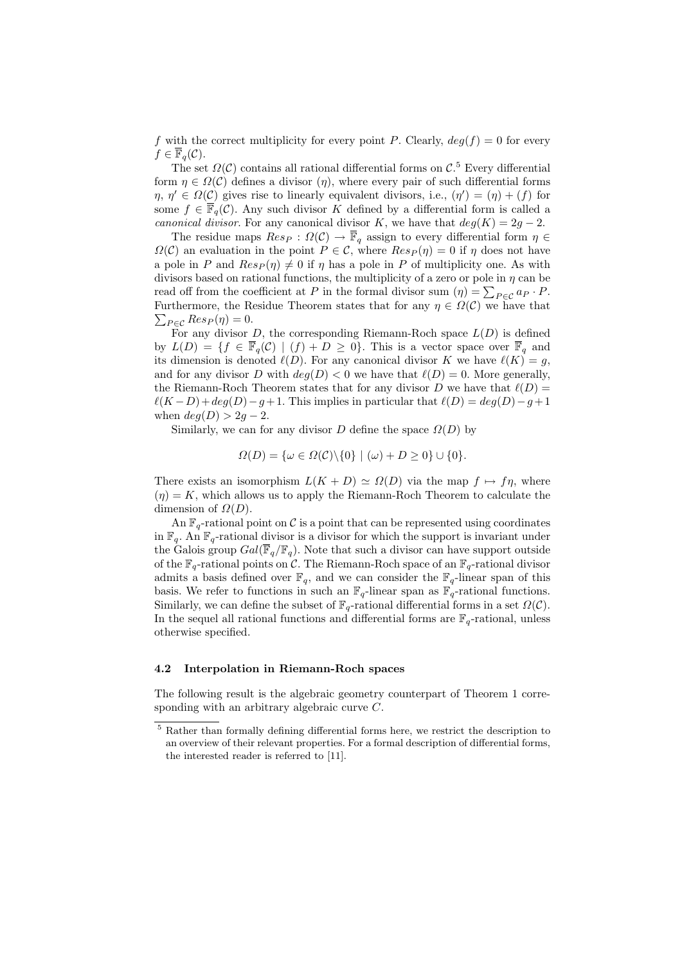f with the correct multiplicity for every point P. Clearly,  $deg(f) = 0$  for every  $f \in \mathbb{F}_q(\mathcal{C})$ .

The set  $\Omega(\mathcal{C})$  contains all rational differential forms on  $\mathcal{C}$ .<sup>5</sup> Every differential form  $\eta \in \Omega(\mathcal{C})$  defines a divisor  $(\eta)$ , where every pair of such differential forms  $\eta, \eta' \in \Omega(\mathcal{C})$  gives rise to linearly equivalent divisors, i.e.,  $(\eta') = (\eta) + (f)$  for some  $f \in \overline{\mathbb{F}}_q(\mathcal{C})$ . Any such divisor K defined by a differential form is called a canonical divisor. For any canonical divisor K, we have that  $deg(K) = 2g - 2$ .

The residue maps  $Res_P : \Omega(\mathcal{C}) \to \overline{\mathbb{F}}_q$  assign to every differential form  $\eta \in$  $\Omega(\mathcal{C})$  an evaluation in the point  $P \in \mathcal{C}$ , where  $Res_P(\eta) = 0$  if  $\eta$  does not have a pole in P and  $Res_P(\eta) \neq 0$  if  $\eta$  has a pole in P of multiplicity one. As with divisors based on rational functions, the multiplicity of a zero or pole in  $\eta$  can be read off from the coefficient at P in the formal divisor sum  $(\eta) = \sum_{P \in \mathcal{C}} a_P \cdot P$ . Furthermore, the Residue Theorem states that for any  $\eta \in \Omega(\mathcal{C})$  we have that  $\sum_{P \in \mathcal{C}} Res_P(\eta) = 0.$ 

For any divisor  $D$ , the corresponding Riemann-Roch space  $L(D)$  is defined by  $L(D) = \{f \in \overline{\mathbb{F}}_q(\mathcal{C}) \mid (f) + D \geq 0\}$ . This is a vector space over  $\overline{\mathbb{F}}_q$  and its dimension is denoted  $\ell(D)$ . For any canonical divisor K we have  $\ell(K) = g$ , and for any divisor D with  $deg(D) < 0$  we have that  $\ell(D) = 0$ . More generally, the Riemann-Roch Theorem states that for any divisor D we have that  $\ell(D) =$  $\ell(K - D) + deg(D) - q + 1$ . This implies in particular that  $\ell(D) = deg(D) - q + 1$ when  $deg(D) > 2g - 2$ .

Similarly, we can for any divisor D define the space  $\Omega(D)$  by

 $\Omega(D) = \{ \omega \in \Omega(\mathcal{C}) \backslash \{0\} \mid (\omega) + D \geq 0 \} \cup \{0\}.$ 

There exists an isomorphism  $L(K + D) \simeq \Omega(D)$  via the map  $f \mapsto f\eta$ , where  $(\eta) = K$ , which allows us to apply the Riemann-Roch Theorem to calculate the dimension of  $\Omega(D)$ .

An  $\mathbb{F}_q$ -rational point on C is a point that can be represented using coordinates in  $\mathbb{F}_q$ . An  $\mathbb{F}_q$ -rational divisor is a divisor for which the support is invariant under the Galois group  $Gal(\overline{\mathbb{F}}_q/\mathbb{F}_q)$ . Note that such a divisor can have support outside of the  $\mathbb{F}_q$ -rational points on C. The Riemann-Roch space of an  $\mathbb{F}_q$ -rational divisor admits a basis defined over  $\mathbb{F}_q$ , and we can consider the  $\mathbb{F}_q$ -linear span of this basis. We refer to functions in such an  $\mathbb{F}_q$ -linear span as  $\mathbb{F}_q$ -rational functions. Similarly, we can define the subset of  $\mathbb{F}_q$ -rational differential forms in a set  $\Omega(\mathcal{C})$ . In the sequel all rational functions and differential forms are  $\mathbb{F}_q$ -rational, unless otherwise specified.

### 4.2 Interpolation in Riemann-Roch spaces

The following result is the algebraic geometry counterpart of Theorem 1 corresponding with an arbitrary algebraic curve C.

<sup>5</sup> Rather than formally defining differential forms here, we restrict the description to an overview of their relevant properties. For a formal description of differential forms, the interested reader is referred to [11].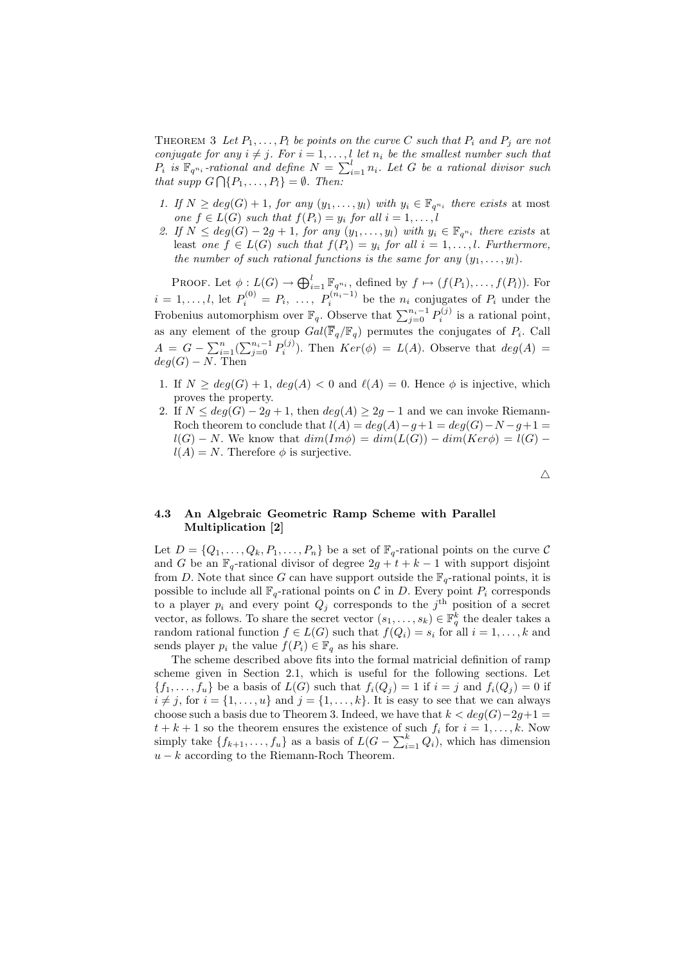THEOREM 3 Let  $P_1, \ldots, P_l$  be points on the curve C such that  $P_i$  and  $P_j$  are not conjugate for any  $i \neq j$ . For  $i = 1, \ldots, l$  let  $n_i$  be the smallest number such that  $P_i$  is  $\mathbb{F}_{q^{n_i}}$ -rational and define  $N = \sum_{i=1}^{l} n_i$ . Let G be a rational divisor such that supp  $G \bigcap \{P_1, \ldots, P_l\} = \emptyset$ . Then:

- 1. If  $N \geq deg(G) + 1$ , for any  $(y_1, \ldots, y_l)$  with  $y_i \in \mathbb{F}_{q^{n_i}}$  there exists at most one  $f \in L(G)$  such that  $f(P_i) = y_i$  for all  $i = 1, ..., l$
- 2. If  $N \leq deg(G) 2g + 1$ , for any  $(y_1, \ldots, y_l)$  with  $y_i \in \mathbb{F}_{q^{n_i}}$  there exists at least one  $f \in L(G)$  such that  $f(P_i) = y_i$  for all  $i = 1, \ldots, l$ . Furthermore, the number of such rational functions is the same for any  $(y_1, \ldots, y_l)$ .

PROOF. Let  $\phi: L(G) \to \bigoplus_{i=1}^{l} \mathbb{F}_{q^{n_i}}$ , defined by  $f \mapsto (f(P_1), \ldots, f(P_l))$ . For  $i = 1, \ldots, l$ , let  $P_i^{(0)} = P_i, \ldots, P_i^{(n_i-1)}$  be the  $n_i$  conjugates of  $P_i$  under the Frobenius automorphism over  $\mathbb{F}_q$ . Observe that  $\sum_{j=0}^{n_i-1} P_i^{(j)}$  is a rational point, as any element of the group  $Gal(\overline{\mathbb{F}}_q/\mathbb{F}_q)$  permutes the conjugates of  $P_i$ . Call  $A = G - \sum_{i=1}^{n} (\sum_{j=0}^{n_i-1} P_i^{(j)})$ . Then  $Ker(\phi) = L(A)$ . Observe that  $deg(A) =$  $deg(G) - N$ . Then

- 1. If  $N \geq deg(G) + 1$ ,  $deg(A) < 0$  and  $\ell(A) = 0$ . Hence  $\phi$  is injective, which proves the property.
- 2. If  $N \leq deg(G) 2g + 1$ , then  $deg(A) \geq 2g 1$  and we can invoke Riemann-Roch theorem to conclude that  $l(A) = deg(A) - g + 1 = deg(G) - N - g + 1 =$  $l(G) - N$ . We know that  $dim(Im\phi) = dim(L(G)) - dim(Ker\phi) = l(G)$  $l(A) = N$ . Therefore  $\phi$  is surjective.

#### $\triangle$

#### 4.3 An Algebraic Geometric Ramp Scheme with Parallel Multiplication [2]

Let  $D = \{Q_1, \ldots, Q_k, P_1, \ldots, P_n\}$  be a set of  $\mathbb{F}_q$ -rational points on the curve  $\mathcal{C}$ and G be an  $\mathbb{F}_q$ -rational divisor of degree  $2g + t + k - 1$  with support disjoint from D. Note that since G can have support outside the  $\mathbb{F}_q$ -rational points, it is possible to include all  $\mathbb{F}_q$ -rational points on C in D. Every point  $P_i$  corresponds to a player  $p_i$  and every point  $Q_j$  corresponds to the  $j^{\text{th}}$  position of a secret vector, as follows. To share the secret vector  $(s_1, \ldots, s_k) \in \mathbb{F}_q^k$  the dealer takes a random rational function  $f \in L(G)$  such that  $f(Q_i) = s_i$  for all  $i = 1, ..., k$  and sends player  $p_i$  the value  $f(P_i) \in \mathbb{F}_q$  as his share.

The scheme described above fits into the formal matricial definition of ramp scheme given in Section 2.1, which is useful for the following sections. Let  ${f_1,\ldots,f_u}$  be a basis of  $L(G)$  such that  $f_i(Q_j) = 1$  if  $i = j$  and  $f_i(Q_j) = 0$  if  $i \neq j$ , for  $i = \{1, \ldots, u\}$  and  $j = \{1, \ldots, k\}$ . It is easy to see that we can always choose such a basis due to Theorem 3. Indeed, we have that  $k < deg(G)-2g+1 =$  $t + k + 1$  so the theorem ensures the existence of such  $f_i$  for  $i = 1, ..., k$ . Now simply take  $\{f_{k+1}, \ldots, f_u\}$  as a basis of  $L(G - \sum_{i=1}^k Q_i)$ , which has dimension  $u - k$  according to the Riemann-Roch Theorem.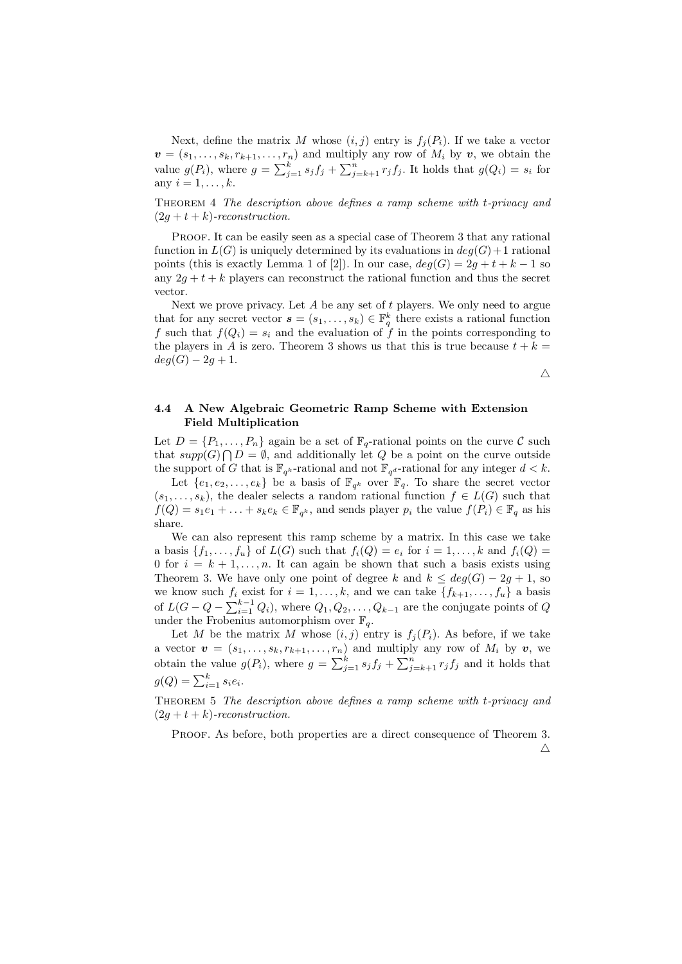Next, define the matrix M whose  $(i, j)$  entry is  $f_i(P_i)$ . If we take a vector  $\mathbf{v} = (s_1, \ldots, s_k, r_{k+1}, \ldots, r_n)$  and multiply any row of  $M_i$  by  $\mathbf{v}$ , we obtain the value  $g(P_i)$ , where  $g = \sum_{j=1}^k s_j f_j + \sum_{j=k+1}^n r_j f_j$ . It holds that  $g(Q_i) = s_i$  for any  $i = 1, \ldots, k$ .

THEOREM 4 The description above defines a ramp scheme with t-privacy and  $(2g + t + k)$ -reconstruction.

Proof. It can be easily seen as a special case of Theorem 3 that any rational function in  $L(G)$  is uniquely determined by its evaluations in  $deg(G) + 1$  rational points (this is exactly Lemma 1 of [2]). In our case,  $deg(G) = 2g + t + k - 1$  so any  $2g + t + k$  players can reconstruct the rational function and thus the secret vector.

Next we prove privacy. Let  $A$  be any set of  $t$  players. We only need to argue that for any secret vector  $\mathbf{s} = (s_1, \ldots, s_k) \in \mathbb{F}_q^k$  there exists a rational function f such that  $f(Q_i) = s_i$  and the evaluation of f in the points corresponding to the players in A is zero. Theorem 3 shows us that this is true because  $t + k =$  $deg(G) - 2g + 1.$ 

$$
\triangle
$$

### 4.4 A New Algebraic Geometric Ramp Scheme with Extension Field Multiplication

Let  $D = \{P_1, \ldots, P_n\}$  again be a set of  $\mathbb{F}_q$ -rational points on the curve C such that  $supp(G) \bigcap D = \emptyset$ , and additionally let Q be a point on the curve outside the support of G that is  $\mathbb{F}_{q^k}$ -rational and not  $\mathbb{F}_{q^d}$ -rational for any integer  $d < k$ . Let  $\{e_1, e_2, \ldots, e_k\}$  be a basis of  $\mathbb{F}_{q^k}$  over  $\mathbb{F}_{q}$ . To share the secret vector

 $(s_1, \ldots, s_k)$ , the dealer selects a random rational function  $f \in L(G)$  such that  $f(Q) = s_1 e_1 + \ldots + s_k e_k \in \mathbb{F}_{q^k}$ , and sends player  $p_i$  the value  $f(P_i) \in \mathbb{F}_q$  as his share.

We can also represent this ramp scheme by a matrix. In this case we take a basis  $\{f_1, \ldots, f_u\}$  of  $L(G)$  such that  $f_i(Q) = e_i$  for  $i = 1, \ldots, k$  and  $f_i(Q) =$ 0 for  $i = k + 1, \ldots, n$ . It can again be shown that such a basis exists using Theorem 3. We have only one point of degree k and  $k \leq deg(G) - 2g + 1$ , so we know such  $f_i$  exist for  $i = 1, \ldots, k$ , and we can take  $\{f_{k+1}, \ldots, f_u\}$  a basis of  $L(G - Q - \sum_{i=1}^{k-1} Q_i)$ , where  $Q_1, Q_2, \ldots, Q_{k-1}$  are the conjugate points of  $Q$ under the Frobenius automorphism over  $\mathbb{F}_q$ .

Let M be the matrix M whose  $(i, j)$  entry is  $f_i(P_i)$ . As before, if we take a vector  $\mathbf{v} = (s_1, \ldots, s_k, r_{k+1}, \ldots, r_n)$  and multiply any row of  $M_i$  by  $\mathbf{v}$ , we obtain the value  $g(P_i)$ , where  $g = \sum_{j=1}^k s_j f_j + \sum_{j=k+1}^n r_j f_j$  and it holds that  $g(Q) = \sum_{i=1}^{k} s_i e_i.$ 

THEOREM 5 The description above defines a ramp scheme with t-privacy and  $(2g + t + k)$ -reconstruction.

Proof. As before, both properties are a direct consequence of Theorem 3.

 $\wedge$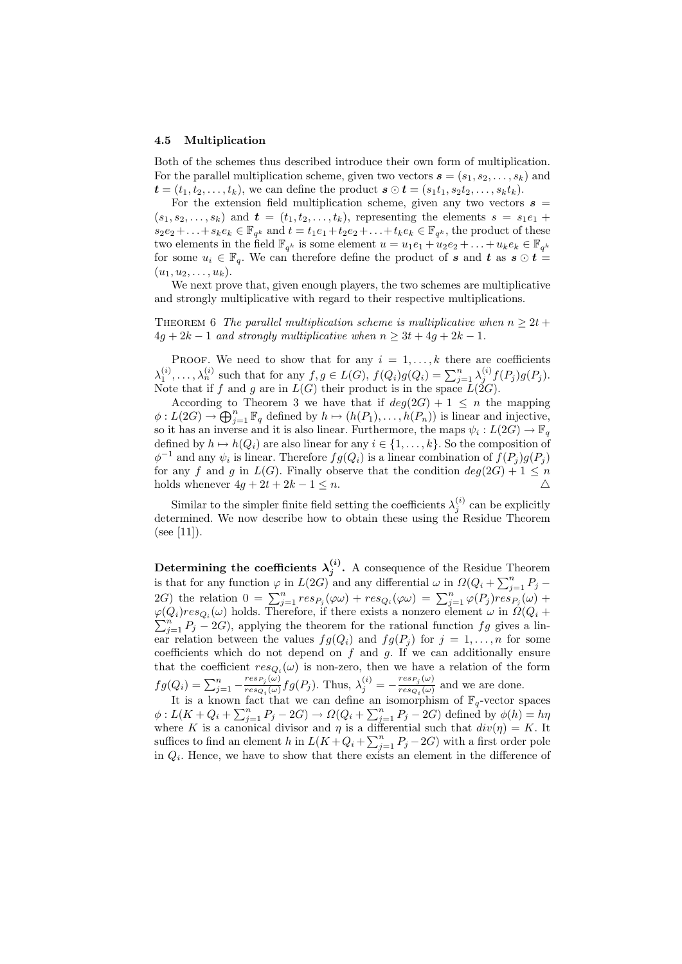#### 4.5 Multiplication

Both of the schemes thus described introduce their own form of multiplication. For the parallel multiplication scheme, given two vectors  $\mathbf{s} = (s_1, s_2, \ldots, s_k)$  and  $\bm{t} = (t_1, t_2, \ldots, t_k)$ , we can define the product  $\bm{s} \odot \bm{t} = (s_1 t_1, s_2 t_2, \ldots, s_k t_k)$ .

For the extension field multiplication scheme, given any two vectors  $s =$  $(s_1, s_2, \ldots, s_k)$  and  $\boldsymbol{t} = (t_1, t_2, \ldots, t_k)$ , representing the elements  $s = s_1 e_1 +$  $s_2e_2+\ldots+s_ke_k \in \mathbb{F}_{q^k}$  and  $t=t_1e_1+t_2e_2+\ldots+t_ke_k \in \mathbb{F}_{q^k}$ , the product of these two elements in the field  $\mathbb{F}_{q^k}$  is some element  $u = u_1e_1 + u_2e_2 + \ldots + u_ke_k \in \mathbb{F}_{q^k}$ for some  $u_i \in \mathbb{F}_q$ . We can therefore define the product of s and t as  $s \odot t =$  $(u_1, u_2, \ldots, u_k).$ 

We next prove that, given enough players, the two schemes are multiplicative and strongly multiplicative with regard to their respective multiplications.

THEOREM 6 The parallel multiplication scheme is multiplicative when  $n \geq 2t +$  $4g + 2k - 1$  and strongly multiplicative when  $n \geq 3t + 4g + 2k - 1$ .

PROOF. We need to show that for any  $i = 1, \ldots, k$  there are coefficients  $\lambda_1^{(i)}, \ldots, \lambda_n^{(i)}$  such that for any  $f, g \in L(G)$ ,  $f(Q_i)g(Q_i) = \sum_{j=1}^n \lambda_j^{(i)} f(P_j)g(P_j)$ . Note that if f and g are in  $L(G)$  their product is in the space  $L(2G)$ .

According to Theorem 3 we have that if  $deg(2G) + 1 \leq n$  the mapping  $\phi: L(2G) \to \bigoplus_{j=1}^n \mathbb{F}_q$  defined by  $h \mapsto (h(P_1), \ldots, h(P_n))$  is linear and injective, so it has an inverse and it is also linear. Furthermore, the maps  $\psi_i: L(2G) \to \mathbb{F}_q$ defined by  $h \mapsto h(Q_i)$  are also linear for any  $i \in \{1, ..., k\}$ . So the composition of  $\phi^{-1}$  and any  $\psi_i$  is linear. Therefore  $fg(Q_i)$  is a linear combination of  $f(P_j)g(P_j)$ for any f and g in  $L(G)$ . Finally observe that the condition  $deg(2G) + 1 \leq n$ holds whenever  $4g + 2t + 2k - 1 \leq n$ .

Similar to the simpler finite field setting the coefficients  $\lambda_j^{(i)}$  can be explicitly determined. We now describe how to obtain these using the Residue Theorem (see [11]).

Determining the coefficients  $\lambda_i^{(i)}$  $j^{(i)}$ . A consequence of the Residue Theorem is that for any function  $\varphi$  in  $L(2G)$  and any differential  $\omega$  in  $\Omega(Q_i + \sum_{j=1}^n P_j -$ 2G) the relation  $0 = \sum_{j=1}^n res_{P_j}(\varphi \omega) + res_{Q_i}(\varphi \omega) = \sum_{j=1}^n \varphi(P_j) res_{P_j}(\omega) +$  $\varphi(Q_i)res_{Q_i}(\omega)$  holds. Therefore, if there exists a nonzero element  $\omega$  in  $\Omega(Q_i +$  $\sum_{j=1}^{n} P_j - 2G$ , applying the theorem for the rational function fg gives a linear relation between the values  $fg(Q_i)$  and  $fg(P_j)$  for  $j = 1, \ldots, n$  for some coefficients which do not depend on  $f$  and  $g$ . If we can additionally ensure that the coefficient  $res_{Q_i}(\omega)$  is non-zero, then we have a relation of the form  $fg(Q_i) = \sum_{j=1}^{n} -\frac{res_{P_j}(\omega)}{res_{Q_i}(\omega)}$  $\frac{res_{P_j}(\omega)}{res_{Q_i}(\omega)}fg(P_j)$ . Thus,  $\lambda_j^{(i)} = -\frac{res_{P_j}(\omega)}{res_{Q_i}(\omega)}$  $\frac{r\cos p_j(\omega)}{res_{Q_i}(\omega)}$  and we are done.

It is a known fact that we can define an isomorphism of  $\mathbb{F}_q$ -vector spaces  $\phi: L(K+Q_i+\sum_{j=1}^n P_j-2G)\to \Omega(Q_i+\sum_{j=1}^n P_j-2G)$  defined by  $\phi(h)=h\eta$ where K is a canonical divisor and  $\eta$  is a differential such that  $div(\eta) = K$ . It suffices to find an element h in  $L(K+Q_i+\sum_{j=1}^n P_j-2G)$  with a first order pole in  $Q_i$ . Hence, we have to show that there exists an element in the difference of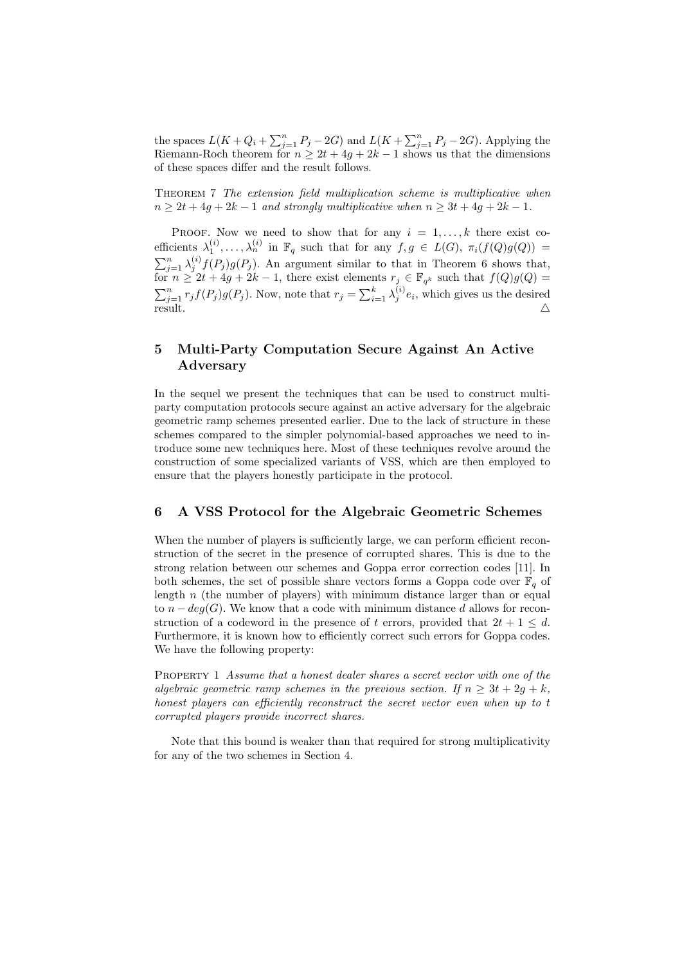the spaces  $L(K+Q_i+\sum_{j=1}^n P_j-2G)$  and  $L(K+\sum_{j=1}^n P_j-2G)$ . Applying the Riemann-Roch theorem for  $n \geq 2t + 4g + 2k - 1$  shows us that the dimensions of these spaces differ and the result follows.

THEOREM 7 The extension field multiplication scheme is multiplicative when  $n \geq 2t + 4q + 2k - 1$  and strongly multiplicative when  $n \geq 3t + 4q + 2k - 1$ .

PROOF. Now we need to show that for any  $i = 1, \ldots, k$  there exist coefficients  $\lambda_1^{(i)}, \ldots, \lambda_n^{(i)}$  in  $\mathbb{F}_q$  such that for any  $f, g \in L(G)$ ,  $\pi_i(f(Q)g(Q)) =$  $\sum_{j=1}^n \lambda_j^{(i)} f(P_j) g(P_j)$ . An argument similar to that in Theorem 6 shows that, for  $n \ge 2t + 4g + 2k - 1$ , there exist elements  $r_j \in \mathbb{F}_{q^k}$  such that  $f(Q)g(Q)$  $\sum_{j=1}^n r_j f(P_j) g(P_j)$ . Now, note that  $r_j = \sum_{i=1}^k \lambda_j^{(i)} e_i$ , which gives us the desired result.  $\triangle$ 

# 5 Multi-Party Computation Secure Against An Active Adversary

In the sequel we present the techniques that can be used to construct multiparty computation protocols secure against an active adversary for the algebraic geometric ramp schemes presented earlier. Due to the lack of structure in these schemes compared to the simpler polynomial-based approaches we need to introduce some new techniques here. Most of these techniques revolve around the construction of some specialized variants of VSS, which are then employed to ensure that the players honestly participate in the protocol.

### 6 A VSS Protocol for the Algebraic Geometric Schemes

When the number of players is sufficiently large, we can perform efficient reconstruction of the secret in the presence of corrupted shares. This is due to the strong relation between our schemes and Goppa error correction codes [11]. In both schemes, the set of possible share vectors forms a Goppa code over  $\mathbb{F}_q$  of length  $n$  (the number of players) with minimum distance larger than or equal to  $n - deg(G)$ . We know that a code with minimum distance d allows for reconstruction of a codeword in the presence of t errors, provided that  $2t + 1 \leq d$ . Furthermore, it is known how to efficiently correct such errors for Goppa codes. We have the following property:

PROPERTY 1 Assume that a honest dealer shares a secret vector with one of the algebraic geometric ramp schemes in the previous section. If  $n \geq 3t + 2g + k$ , honest players can efficiently reconstruct the secret vector even when up to t corrupted players provide incorrect shares.

Note that this bound is weaker than that required for strong multiplicativity for any of the two schemes in Section 4.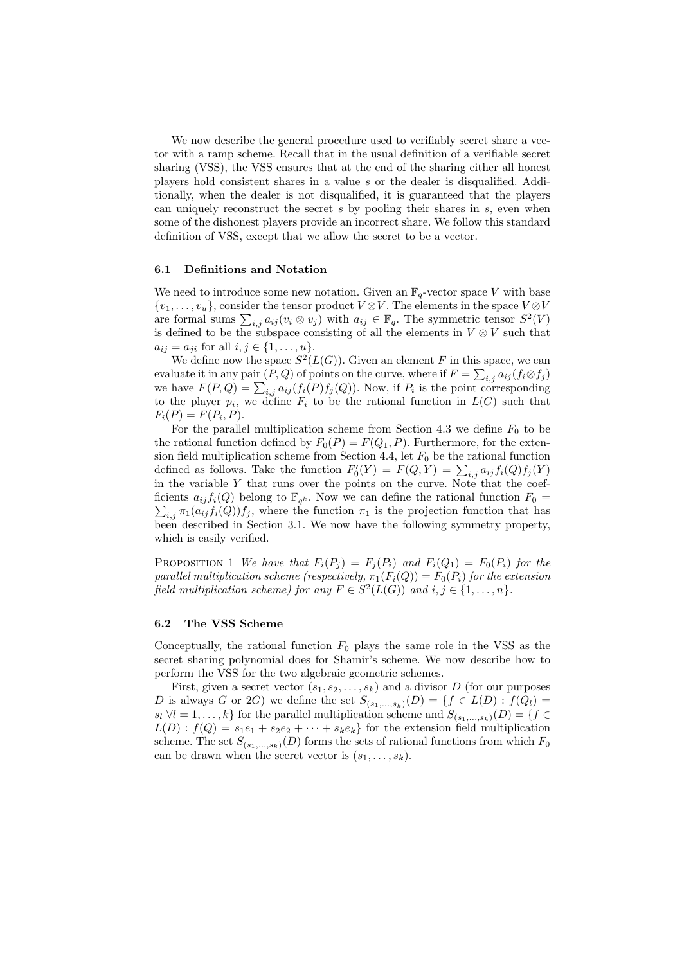We now describe the general procedure used to verifiably secret share a vector with a ramp scheme. Recall that in the usual definition of a verifiable secret sharing (VSS), the VSS ensures that at the end of the sharing either all honest players hold consistent shares in a value s or the dealer is disqualified. Additionally, when the dealer is not disqualified, it is guaranteed that the players can uniquely reconstruct the secret s by pooling their shares in s, even when some of the dishonest players provide an incorrect share. We follow this standard definition of VSS, except that we allow the secret to be a vector.

#### 6.1 Definitions and Notation

We need to introduce some new notation. Given an  $\mathbb{F}_q$ -vector space V with base  $\{v_1, \ldots, v_u\}$ , consider the tensor product  $V \otimes V$ . The elements in the space  $V \otimes V$ are formal sums  $\sum_{i,j} a_{ij} (v_i \otimes v_j)$  with  $a_{ij} \in \mathbb{F}_q$ . The symmetric tensor  $S^2(V)$ is defined to be the subspace consisting of all the elements in  $V \otimes V$  such that  $a_{ij} = a_{ji}$  for all  $i, j \in \{1, ..., u\}.$ 

We define now the space  $S^2(L(G))$ . Given an element F in this space, we can evaluate it in any pair  $(P,Q)$  of points on the curve, where if  $F = \sum_{i,j} a_{ij} (f_i \otimes f_j)$ we have  $F(P,Q) = \sum_{i,j} a_{ij} (f_i(P)f_j(Q))$ . Now, if  $P_i$  is the point corresponding to the player  $p_i$ , we define  $F_i$  to be the rational function in  $L(G)$  such that  $F_i(P) = F(P_i, P).$ 

For the parallel multiplication scheme from Section 4.3 we define  $F_0$  to be the rational function defined by  $F_0(P) = F(Q_1, P)$ . Furthermore, for the extension field multiplication scheme from Section 4.4, let  $F_0$  be the rational function defined as follows. Take the function  $F'_{0}(Y) = F(Q, Y) = \sum_{i,j} a_{ij} f_{i}(Q) f_{j}(Y)$ in the variable  $Y$  that runs over the points on the curve. Note that the coefficients  $a_{ij}f_i(Q)$  belong to  $\mathbb{F}_{q^k}$ . Now we can define the rational function  $F_0 = \sum_{i,j} \pi_1(a_{ij}f_i(Q))f_j$ , where the function  $\pi_1$  is the projection function that has  $\sum_{i,j} \pi_1(a_{ij}f_i(Q))f_j$ , where the function  $\pi_1$  is the projection function that has been described in Section 3.1. We now have the following symmetry property, which is easily verified.

PROPOSITION 1 We have that  $F_i(P_i) = F_i(P_i)$  and  $F_i(Q_1) = F_0(P_i)$  for the parallel multiplication scheme (respectively,  $\pi_1(F_i(Q)) = F_0(P_i)$  for the extension field multiplication scheme) for any  $F \in S^2(L(G))$  and  $i, j \in \{1, ..., n\}$ .

### 6.2 The VSS Scheme

Conceptually, the rational function  $F_0$  plays the same role in the VSS as the secret sharing polynomial does for Shamir's scheme. We now describe how to perform the VSS for the two algebraic geometric schemes.

First, given a secret vector  $(s_1, s_2, \ldots, s_k)$  and a divisor D (for our purposes D is always G or 2G) we define the set  $S_{(s_1,...,s_k)}(D) = \{f \in L(D) : f(Q_i) =$  $s_l \ \forall l = 1, \ldots, k$  for the parallel multiplication scheme and  $S_{(s_1,\ldots,s_k)}(D) = \{f \in$  $L(D)$ :  $f(Q) = s_1e_1 + s_2e_2 + \cdots + s_ke_k$  for the extension field multiplication scheme. The set  $S_{(s_1,...,s_k)}(D)$  forms the sets of rational functions from which  $F_0$ can be drawn when the secret vector is  $(s_1, \ldots, s_k)$ .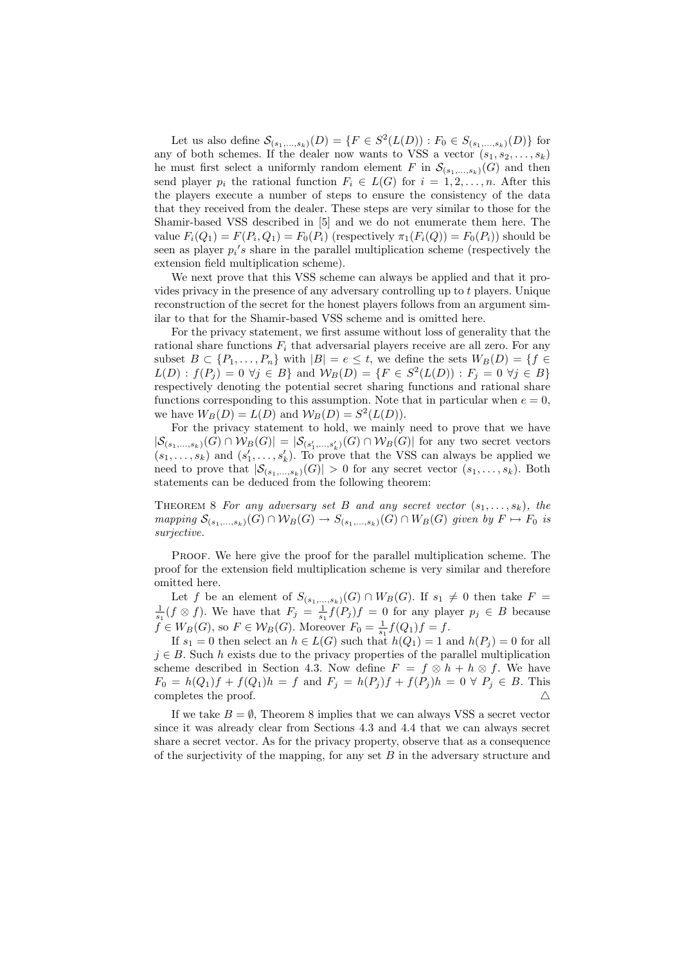Let us also define  $S_{(s_1,...,s_k)}(D) = \{F \in S^2(L(D)) : F_0 \in S_{(s_1,...,s_k)}(D)\}$  for any of both schemes. If the dealer now wants to VSS a vector  $(s_1, s_2, \ldots, s_k)$ he must first select a uniformly random element F in  $\mathcal{S}_{(s_1,...,s_k)}(G)$  and then send player  $p_i$  the rational function  $F_i \in L(G)$  for  $i = 1, 2, ..., n$ . After this the players execute a number of steps to ensure the consistency of the data that they received from the dealer. These steps are very similar to those for the Shamir-based VSS described in [5] and we do not enumerate them here. The value  $F_i(Q_1) = F(P_i, Q_1) = F_0(P_i)$  (respectively  $\pi_1(F_i(Q)) = F_0(P_i)$ ) should be seen as player  $p_i$ 's share in the parallel multiplication scheme (respectively the extension field multiplication scheme).

We next prove that this VSS scheme can always be applied and that it provides privacy in the presence of any adversary controlling up to t players. Unique reconstruction of the secret for the honest players follows from an argument similar to that for the Shamir-based VSS scheme and is omitted here.

For the privacy statement, we first assume without loss of generality that the rational share functions  $F_i$  that adversarial players receive are all zero. For any subset  $B \subset \{P_1, \ldots, P_n\}$  with  $|B| = e \leq t$ , we define the sets  $W_B(D) = \{f \in$  $L(D)$ :  $f(P_j) = 0 \ \forall j \in B$  and  $W_B(D) = \{ F \in S^2(L(D)) : F_j = 0 \ \forall j \in B \}$ respectively denoting the potential secret sharing functions and rational share functions corresponding to this assumption. Note that in particular when  $e = 0$ , we have  $W_B(D) = L(D)$  and  $W_B(D) = S^2(L(D)).$ 

For the privacy statement to hold, we mainly need to prove that we have  $|\mathcal{S}_{(s_1,...,s_k)}(G) \cap \mathcal{W}_B(G)| = |\mathcal{S}_{(s'_1,...,s'_k)}(G) \cap \mathcal{W}_B(G)|$  for any two secret vectors  $(s_1, \ldots, s_k)$  and  $(s'_1, \ldots, s'_k)$ . To prove that the VSS can always be applied we need to prove that  $|S_{(s_1,...,s_k)}(G)| > 0$  for any secret vector  $(s_1,...,s_k)$ . Both statements can be deduced from the following theorem:

THEOREM 8 For any adversary set B and any secret vector  $(s_1, \ldots, s_k)$ , the mapping  $S_{(s_1,...,s_k)}(G) \cap W_B(G) \to S_{(s_1,...,s_k)}(G) \cap W_B(G)$  given by  $F \mapsto F_0$  is surjective.

PROOF. We here give the proof for the parallel multiplication scheme. The proof for the extension field multiplication scheme is very similar and therefore omitted here.

Let f be an element of  $S_{(s_1,...,s_k)}(G) \cap W_B(G)$ . If  $s_1 \neq 0$  then take  $F = \frac{1}{s_1}(f \otimes f)$ . We have that  $F_j = \frac{1}{s_1}f(P_j)f = 0$  for any player  $p_j \in B$  because  $f \in W_B(G)$ , so  $F \in W_B(G)$ . Moreover  $F_0 = \frac{1}{s_1} f(Q_1) f = f$ .

If  $s_1 = 0$  then select an  $h \in L(G)$  such that  $h(Q_1) = 1$  and  $h(P_i) = 0$  for all  $j \in B$ . Such h exists due to the privacy properties of the parallel multiplication scheme described in Section 4.3. Now define  $F = f \otimes h + h \otimes f$ . We have  $F_0 = h(Q_1)f + f(Q_1)h = f$  and  $F_i = h(P_i)f + f(P_j)h = 0 \forall P_i \in B$ . This completes the proof.  $\triangle$ 

If we take  $B = \emptyset$ , Theorem 8 implies that we can always VSS a secret vector since it was already clear from Sections 4.3 and 4.4 that we can always secret share a secret vector. As for the privacy property, observe that as a consequence of the surjectivity of the mapping, for any set  $B$  in the adversary structure and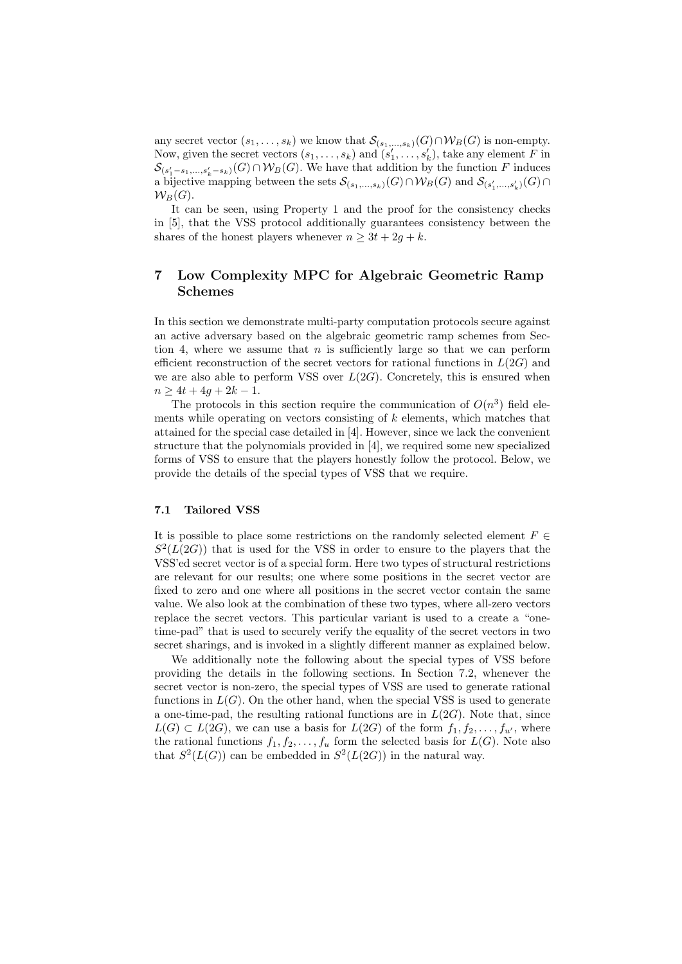any secret vector  $(s_1, \ldots, s_k)$  we know that  $S_{(s_1,\ldots,s_k)}(G) \cap W_B(G)$  is non-empty. Now, given the secret vectors  $(s_1, \ldots, s_k)$  and  $(s'_1, \ldots, s'_k)$ , take any element F in  $\mathcal{S}_{(s'_1-s_1,\ldots,s'_k-s_k)}(G) \cap \mathcal{W}_B(G)$ . We have that addition by the function F induces a bijective mapping between the sets  $\mathcal{S}_{(s_1,...,s_k)}(G) \cap \mathcal{W}_B(G)$  and  $\mathcal{S}_{(s'_1,...,s'_k)}(G) \cap$  $W_B(G)$ .

It can be seen, using Property 1 and the proof for the consistency checks in [5], that the VSS protocol additionally guarantees consistency between the shares of the honest players whenever  $n \geq 3t + 2g + k$ .

## 7 Low Complexity MPC for Algebraic Geometric Ramp Schemes

In this section we demonstrate multi-party computation protocols secure against an active adversary based on the algebraic geometric ramp schemes from Section 4, where we assume that n is sufficiently large so that we can perform efficient reconstruction of the secret vectors for rational functions in  $L(2G)$  and we are also able to perform VSS over  $L(2G)$ . Concretely, this is ensured when  $n \geq 4t + 4g + 2k - 1.$ 

The protocols in this section require the communication of  $O(n^3)$  field elements while operating on vectors consisting of  $k$  elements, which matches that attained for the special case detailed in [4]. However, since we lack the convenient structure that the polynomials provided in [4], we required some new specialized forms of VSS to ensure that the players honestly follow the protocol. Below, we provide the details of the special types of VSS that we require.

#### 7.1 Tailored VSS

It is possible to place some restrictions on the randomly selected element  $F \in$  $S^2(L(2G))$  that is used for the VSS in order to ensure to the players that the VSS'ed secret vector is of a special form. Here two types of structural restrictions are relevant for our results; one where some positions in the secret vector are fixed to zero and one where all positions in the secret vector contain the same value. We also look at the combination of these two types, where all-zero vectors replace the secret vectors. This particular variant is used to a create a "onetime-pad" that is used to securely verify the equality of the secret vectors in two secret sharings, and is invoked in a slightly different manner as explained below.

We additionally note the following about the special types of VSS before providing the details in the following sections. In Section 7.2, whenever the secret vector is non-zero, the special types of VSS are used to generate rational functions in  $L(G)$ . On the other hand, when the special VSS is used to generate a one-time-pad, the resulting rational functions are in  $L(2G)$ . Note that, since  $L(G) \subset L(2G)$ , we can use a basis for  $L(2G)$  of the form  $f_1, f_2, \ldots, f_{u'}$ , where the rational functions  $f_1, f_2, \ldots, f_u$  form the selected basis for  $L(G)$ . Note also that  $S^2(L(G))$  can be embedded in  $S^2(L(2G))$  in the natural way.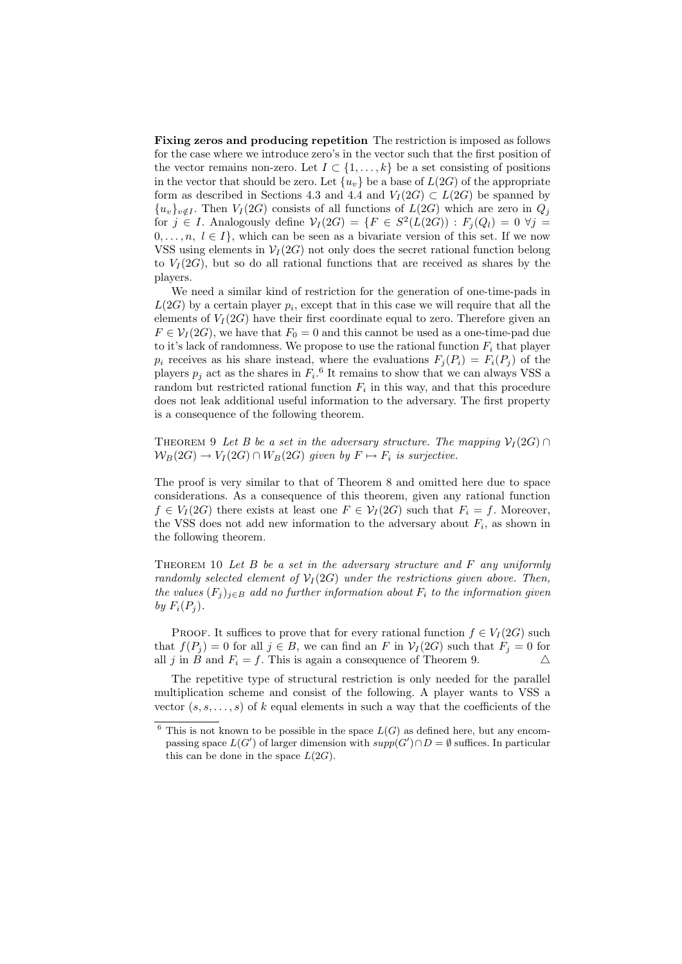Fixing zeros and producing repetition The restriction is imposed as follows for the case where we introduce zero's in the vector such that the first position of the vector remains non-zero. Let  $I \subset \{1, ..., k\}$  be a set consisting of positions in the vector that should be zero. Let  $\{u_v\}$  be a base of  $L(2G)$  of the appropriate form as described in Sections 4.3 and 4.4 and  $V_I(2G) \subset L(2G)$  be spanned by  ${u_v}_{v \notin I}$ . Then  $V_I(2G)$  consists of all functions of  $L(2G)$  which are zero in  $Q_j$ for  $j \in I$ . Analogously define  $V_I(2G) = \{F \in S^2(L(2G)) : F_j(Q_i) = 0 \ \forall j =$  $0, \ldots, n, l \in I$ , which can be seen as a bivariate version of this set. If we now VSS using elements in  $V_I(2G)$  not only does the secret rational function belong to  $V_I(2G)$ , but so do all rational functions that are received as shares by the players.

We need a similar kind of restriction for the generation of one-time-pads in  $L(2G)$  by a certain player  $p_i$ , except that in this case we will require that all the elements of  $V_I(2G)$  have their first coordinate equal to zero. Therefore given an  $F \in V_I(2G)$ , we have that  $F_0 = 0$  and this cannot be used as a one-time-pad due to it's lack of randomness. We propose to use the rational function  $F_i$  that player  $p_i$  receives as his share instead, where the evaluations  $F_j(P_i) = F_i(P_j)$  of the players  $p_j$  act as the shares in  $F_i$ .<sup>6</sup> It remains to show that we can always VSS a random but restricted rational function  $F_i$  in this way, and that this procedure does not leak additional useful information to the adversary. The first property is a consequence of the following theorem.

THEOREM 9 Let B be a set in the adversary structure. The mapping  $\mathcal{V}_I(2G) \cap$  $W_B(2G) \to V_I(2G) \cap W_B(2G)$  given by  $F \mapsto F_i$  is surjective.

The proof is very similar to that of Theorem 8 and omitted here due to space considerations. As a consequence of this theorem, given any rational function  $f \in V_I(2G)$  there exists at least one  $F \in V_I(2G)$  such that  $F_i = f$ . Moreover, the VSS does not add new information to the adversary about  $F_i$ , as shown in the following theorem.

THEOREM 10 Let  $B$  be a set in the adversary structure and  $F$  any uniformly randomly selected element of  $V_I(2G)$  under the restrictions given above. Then, the values  $(F_j)_{j\in B}$  add no further information about  $F_i$  to the information given by  $F_i(P_j)$ .

PROOF. It suffices to prove that for every rational function  $f \in V_I(2G)$  such that  $f(P_i) = 0$  for all  $j \in B$ , we can find an F in  $V_I(2G)$  such that  $F_i = 0$  for all *j* in B and  $F_i = f$ . This is again a consequence of Theorem 9.  $\triangle$ 

The repetitive type of structural restriction is only needed for the parallel multiplication scheme and consist of the following. A player wants to VSS a vector  $(s, s, \ldots, s)$  of k equal elements in such a way that the coefficients of the

 $6$  This is not known to be possible in the space  $L(G)$  as defined here, but any encompassing space  $L(G')$  of larger dimension with  $supp(G') \cap D = \emptyset$  suffices. In particular this can be done in the space  $L(2G)$ .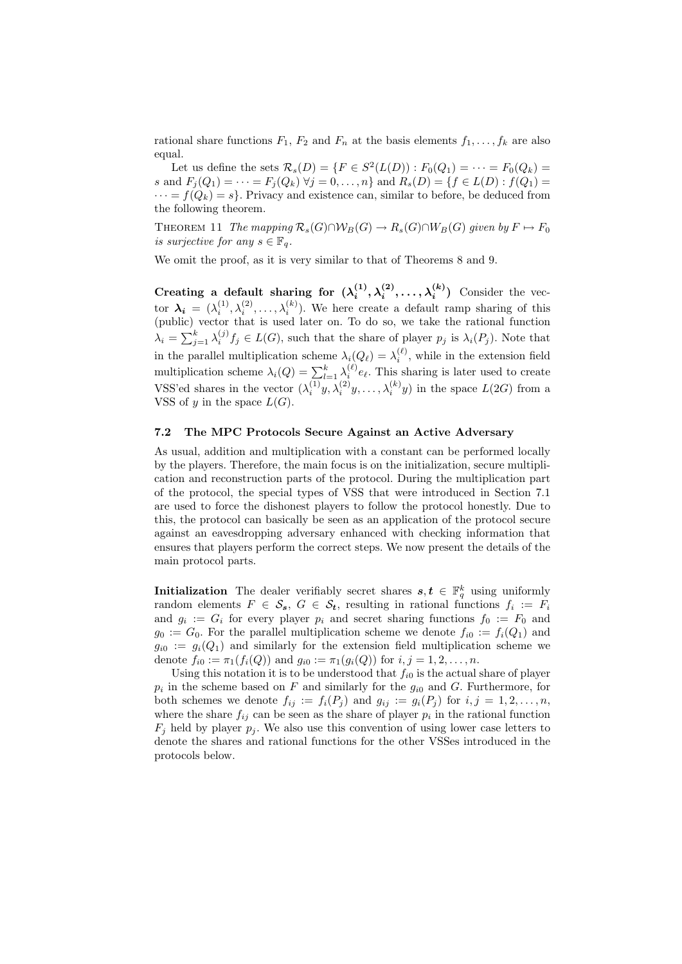rational share functions  $F_1, F_2$  and  $F_n$  at the basis elements  $f_1, \ldots, f_k$  are also equal.

Let us define the sets  $\mathcal{R}_s(D) = \{ F \in S^2(L(D)) : F_0(Q_1) = \cdots = F_0(Q_k) =$ s and  $F_i(Q_1) = \cdots = F_i(Q_k) \,\forall j = 0, \ldots, n$  and  $R_s(D) = \{f \in L(D) : f(Q_1) =$  $\cdots = f(Q_k) = s$ . Privacy and existence can, similar to before, be deduced from the following theorem.

THEOREM 11 The mapping  $\mathcal{R}_s(G) \cap \mathcal{W}_B(G) \to R_s(G) \cap W_B(G)$  given by  $F \mapsto F_0$ is surjective for any  $s \in \mathbb{F}_q$ .

We omit the proof, as it is very similar to that of Theorems 8 and 9.

Creating a default sharing for  $(\lambda_i^{(1)})$  $\lambda_i^{(1)}, \lambda_i^{(2)}, \ldots, \lambda_i^{(k)}$  Consider the vector  $\lambda_i = (\lambda_i^{(1)}, \lambda_i^{(2)}, \ldots, \lambda_i^{(k)})$ . We here create a default ramp sharing of this (public) vector that is used later on. To do so, we take the rational function  $\lambda_i = \sum_{j=1}^k \lambda_i^{(j)} f_j \in L(G)$ , such that the share of player  $p_j$  is  $\lambda_i(P_j)$ . Note that in the parallel multiplication scheme  $\lambda_i(Q_\ell) = \lambda_i^{(\ell)}$ , while in the extension field in the paranet multiplication scheme  $\lambda_i(Q) = \sum_{l=1}^k \lambda_i^{(\ell)} e_l$ . This sharing is later used to create VSS'ed shares in the vector  $(\lambda_i^{(1)}y, \lambda_i^{(2)}y, \ldots, \lambda_i^{(k)}y)$  in the space  $L(2G)$  from a VSS of y in the space  $L(G)$ .

### 7.2 The MPC Protocols Secure Against an Active Adversary

As usual, addition and multiplication with a constant can be performed locally by the players. Therefore, the main focus is on the initialization, secure multiplication and reconstruction parts of the protocol. During the multiplication part of the protocol, the special types of VSS that were introduced in Section 7.1 are used to force the dishonest players to follow the protocol honestly. Due to this, the protocol can basically be seen as an application of the protocol secure against an eavesdropping adversary enhanced with checking information that ensures that players perform the correct steps. We now present the details of the main protocol parts.

**Initialization** The dealer verifiably secret shares  $s, t \in \mathbb{F}_q^k$  using uniformly random elements  $F \in \mathcal{S}_s$ ,  $G \in \mathcal{S}_t$ , resulting in rational functions  $f_i := F_i$ and  $g_i := G_i$  for every player  $p_i$  and secret sharing functions  $f_0 := F_0$  and  $g_0 := G_0$ . For the parallel multiplication scheme we denote  $f_{i0} := f_i(Q_1)$  and  $g_{i0} := g_i(Q_1)$  and similarly for the extension field multiplication scheme we denote  $f_{i0} := \pi_1(f_i(Q))$  and  $g_{i0} := \pi_1(g_i(Q))$  for  $i, j = 1, 2, ..., n$ .

Using this notation it is to be understood that  $f_{i0}$  is the actual share of player  $p_i$  in the scheme based on F and similarly for the  $g_{i0}$  and G. Furthermore, for both schemes we denote  $f_{ij} := f_i(P_j)$  and  $g_{ij} := g_i(P_j)$  for  $i, j = 1, 2, ..., n$ , where the share  $f_{ij}$  can be seen as the share of player  $p_i$  in the rational function  $F_i$  held by player  $p_i$ . We also use this convention of using lower case letters to denote the shares and rational functions for the other VSSes introduced in the protocols below.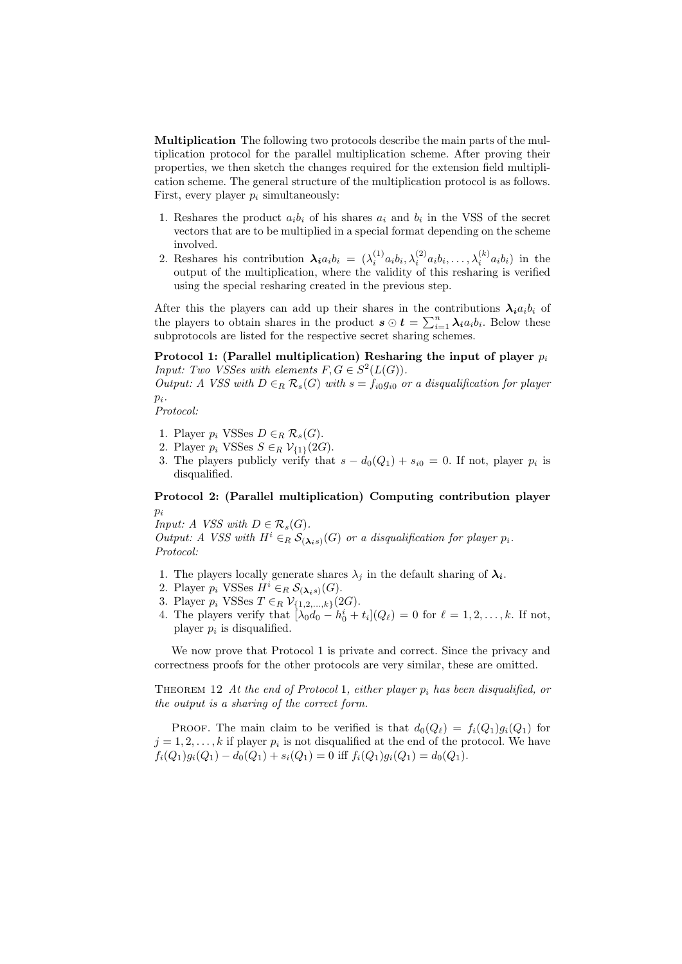Multiplication The following two protocols describe the main parts of the multiplication protocol for the parallel multiplication scheme. After proving their properties, we then sketch the changes required for the extension field multiplication scheme. The general structure of the multiplication protocol is as follows. First, every player  $p_i$  simultaneously:

- 1. Reshares the product  $a_i b_i$  of his shares  $a_i$  and  $b_i$  in the VSS of the secret vectors that are to be multiplied in a special format depending on the scheme involved.
- 2. Reshares his contribution  $\lambda_i a_i b_i = (\lambda_i^{(1)} a_i b_i, \lambda_i^{(2)} a_i b_i, \dots, \lambda_i^{(k)} a_i b_i)$  in the output of the multiplication, where the validity of this resharing is verified using the special resharing created in the previous step.

After this the players can add up their shares in the contributions  $\lambda_i a_i b_i$  of the players to obtain shares in the product  $s \odot t = \sum_{i=1}^{n} \lambda_i a_i b_i$ . Below these subprotocols are listed for the respective secret sharing schemes.

#### Protocol 1: (Parallel multiplication) Resharing the input of player  $p_i$ *Input: Two VSSes with elements*  $F, G \in S^2(L(G))$ *.*

Output: A VSS with  $D \in_R \mathcal{R}_s(G)$  with  $s = f_{i0}g_{i0}$  or a disqualification for player  $p_i$ .

Protocol:

- 1. Player  $p_i$  VSSes  $D \in_R \mathcal{R}_s(G)$ .
- 2. Player  $p_i$  VSSes  $S \in_R \mathcal{V}_{\{1\}}(2G)$ .
- 3. The players publicly verify that  $s d_0(Q_1) + s_{i0} = 0$ . If not, player  $p_i$  is disqualified.

### Protocol 2: (Parallel multiplication) Computing contribution player pi

Input: A VSS with  $D \in \mathcal{R}_s(G)$ .

Output: A VSS with  $H^i \in_R \mathcal{S}_{(\lambda, s)}(G)$  or a disqualification for player  $p_i$ . Protocol:

- 1. The players locally generate shares  $\lambda_j$  in the default sharing of  $\lambda_i$ .
- 2. Player  $p_i$  VSSes  $H^i \in_R \mathcal{S}_{(\lambda_i,s)}(G)$ .
- 3. Player  $p_i$  VSSes  $T \in_R \mathcal{V}_{\{1,2,...,k\}}(2G)$ .
- 4. The players verify that  $\left[\lambda_0 d_0 h_0^i + t_i\right](Q_\ell) = 0$  for  $\ell = 1, 2, \ldots, k$ . If not, player  $p_i$  is disqualified.

We now prove that Protocol 1 is private and correct. Since the privacy and correctness proofs for the other protocols are very similar, these are omitted.

THEOREM 12 At the end of Protocol 1, either player  $p_i$  has been disqualified, or the output is a sharing of the correct form.

PROOF. The main claim to be verified is that  $d_0(Q_\ell) = f_i(Q_1)g_i(Q_1)$  for  $j = 1, 2, \ldots, k$  if player  $p_i$  is not disqualified at the end of the protocol. We have  $f_i(Q_1)g_i(Q_1) - d_0(Q_1) + s_i(Q_1) = 0$  iff  $f_i(Q_1)g_i(Q_1) = d_0(Q_1)$ .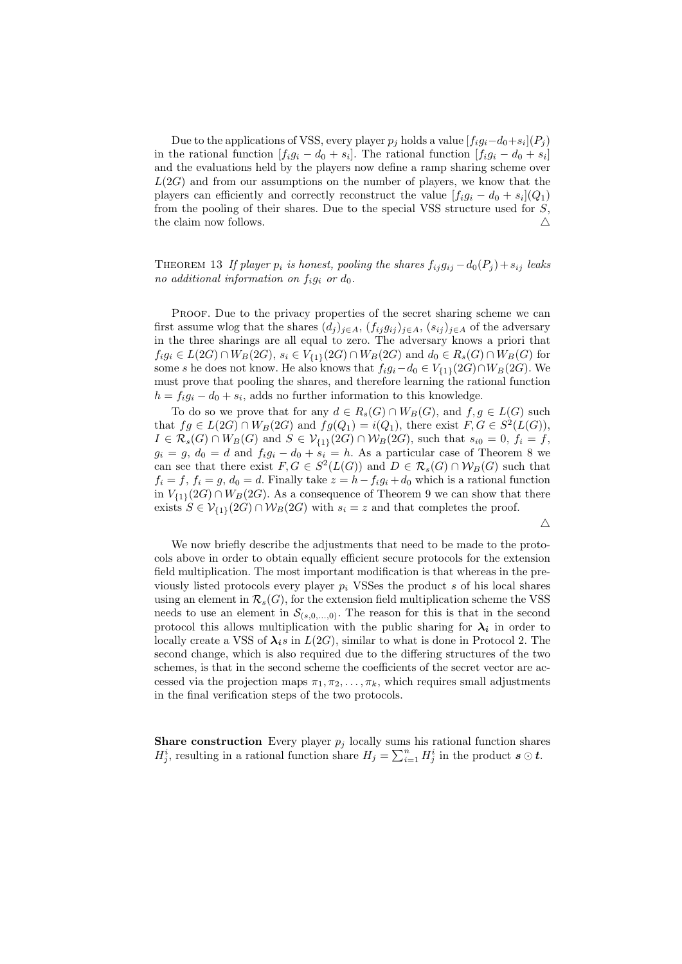Due to the applications of VSS, every player  $p_j$  holds a value  $[f_ig_i-d_0+s_i](P_j)$ in the rational function  $[f_i g_i - d_0 + s_i]$ . The rational function  $[f_i g_i - d_0 + s_i]$ and the evaluations held by the players now define a ramp sharing scheme over  $L(2G)$  and from our assumptions on the number of players, we know that the players can efficiently and correctly reconstruct the value  $[f_ig_i - d_0 + s_i](Q_1)$ from the pooling of their shares. Due to the special VSS structure used for S, the claim now follows.  $\triangle$ 

THEOREM 13 If player  $p_i$  is honest, pooling the shares  $f_{ij}g_{ij} - d_0(P_j) + s_{ij}$  leaks no additional information on  $f_i g_i$  or  $d_0$ .

PROOF. Due to the privacy properties of the secret sharing scheme we can first assume wlog that the shares  $(d_j)_{j\in A}$ ,  $(f_{ij}g_{ij})_{j\in A}$ ,  $(s_{ij})_{j\in A}$  of the adversary in the three sharings are all equal to zero. The adversary knows a priori that  $f_i g_i \in L(2G) \cap W_B(2G), s_i \in V_{\{1\}}(2G) \cap W_B(2G)$  and  $d_0 \in R_s(G) \cap W_B(G)$  for some s he does not know. He also knows that  $f_i g_i - d_0 \in V_{\{1\}}(2G) \cap W_B(2G)$ . We must prove that pooling the shares, and therefore learning the rational function  $h = f_i g_i - d_0 + s_i$ , adds no further information to this knowledge.

To do so we prove that for any  $d \in R_s(G) \cap W_B(G)$ , and  $f, g \in L(G)$  such that  $fg \in L(2G) \cap W_B(2G)$  and  $fg(Q_1) = i(Q_1)$ , there exist  $F, G \in S^2(L(G))$ ,  $I \in \mathcal{R}_s(G) \cap W_B(G)$  and  $S \in \mathcal{V}_{\{1\}}(2G) \cap \mathcal{W}_B(2G)$ , such that  $s_{i0} = 0$ ,  $f_i = f$ ,  $g_i = g, d_0 = d$  and  $f_i g_i - d_0 + s_i = h$ . As a particular case of Theorem 8 we can see that there exist  $F, G \in S^2(L(G))$  and  $D \in \mathcal{R}_s(G) \cap \mathcal{W}_B(G)$  such that  $f_i = f, f_i = g, d_0 = d.$  Finally take  $z = h - f_i g_i + d_0$  which is a rational function in  $V_{\{1\}}(2G) \cap W_B(2G)$ . As a consequence of Theorem 9 we can show that there exists  $S \in \mathcal{V}_{\{1\}}(2G) \cap \mathcal{W}_{B}(2G)$  with  $s_i = z$  and that completes the proof.

 $\triangle$ 

We now briefly describe the adjustments that need to be made to the protocols above in order to obtain equally efficient secure protocols for the extension field multiplication. The most important modification is that whereas in the previously listed protocols every player  $p_i$  VSSes the product s of his local shares using an element in  $\mathcal{R}_s(G)$ , for the extension field multiplication scheme the VSS needs to use an element in  $\mathcal{S}_{(s,0,...,0)}$ . The reason for this is that in the second protocol this allows multiplication with the public sharing for  $\lambda_i$  in order to locally create a VSS of  $\lambda_i s$  in  $L(2G)$ , similar to what is done in Protocol 2. The second change, which is also required due to the differing structures of the two schemes, is that in the second scheme the coefficients of the secret vector are accessed via the projection maps  $\pi_1, \pi_2, \ldots, \pi_k$ , which requires small adjustments in the final verification steps of the two protocols.

**Share construction** Every player  $p_i$  locally sums his rational function shares  $H_j^i$ , resulting in a rational function share  $H_j = \sum_{i=1}^n H_j^i$  in the product  $s \odot t$ .